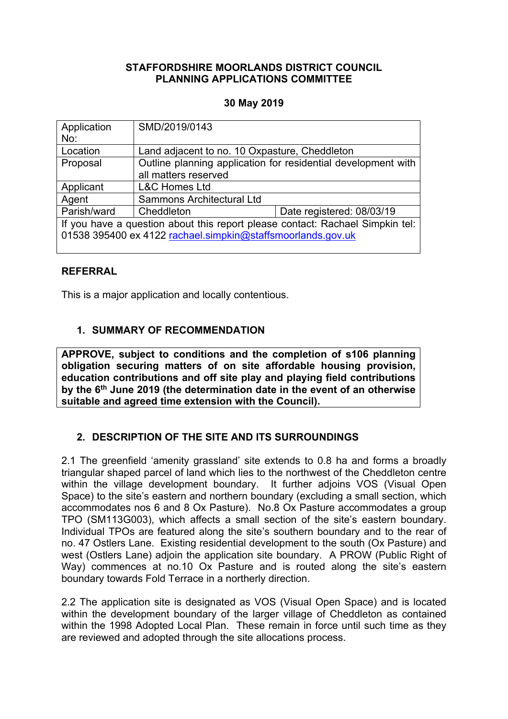## **STAFFORDSHIRE MOORLANDS DISTRICT COUNCIL PLANNING APPLICATIONS COMMITTEE**

## **30 May 2019**

| Application<br>No:                                                                                                                           | SMD/2019/0143                                                                         |                           |
|----------------------------------------------------------------------------------------------------------------------------------------------|---------------------------------------------------------------------------------------|---------------------------|
| Location                                                                                                                                     | Land adjacent to no. 10 Oxpasture, Cheddleton                                         |                           |
| Proposal                                                                                                                                     | Outline planning application for residential development with<br>all matters reserved |                           |
| Applicant                                                                                                                                    | <b>L&amp;C Homes Ltd</b>                                                              |                           |
| Agent                                                                                                                                        | Sammons Architectural Ltd                                                             |                           |
| Parish/ward                                                                                                                                  | Cheddleton                                                                            | Date registered: 08/03/19 |
| If you have a question about this report please contact: Rachael Simpkin tel:<br>01538 395400 ex 4122 rachael.simpkin@staffsmoorlands.gov.uk |                                                                                       |                           |

## **REFERRAL**

This is a major application and locally contentious.

## **1. SUMMARY OF RECOMMENDATION**

**APPROVE, subject to conditions and the completion of s106 planning obligation securing matters of on site affordable housing provision, education contributions and off site play and playing field contributions by the 6 th June 2019 (the determination date in the event of an otherwise suitable and agreed time extension with the Council).**

# **2. DESCRIPTION OF THE SITE AND ITS SURROUNDINGS**

2.1 The greenfield 'amenity grassland' site extends to 0.8 ha and forms a broadly triangular shaped parcel of land which lies to the northwest of the Cheddleton centre within the village development boundary. It further adjoins VOS (Visual Open Space) to the site's eastern and northern boundary (excluding a small section, which accommodates nos 6 and 8 Ox Pasture). No.8 Ox Pasture accommodates a group TPO (SM113G003), which affects a small section of the site's eastern boundary. Individual TPOs are featured along the site's southern boundary and to the rear of no. 47 Ostlers Lane. Existing residential development to the south (Ox Pasture) and west (Ostlers Lane) adjoin the application site boundary. A PROW (Public Right of Way) commences at no.10 Ox Pasture and is routed along the site's eastern boundary towards Fold Terrace in a northerly direction.

2.2 The application site is designated as VOS (Visual Open Space) and is located within the development boundary of the larger village of Cheddleton as contained within the 1998 Adopted Local Plan. These remain in force until such time as they are reviewed and adopted through the site allocations process.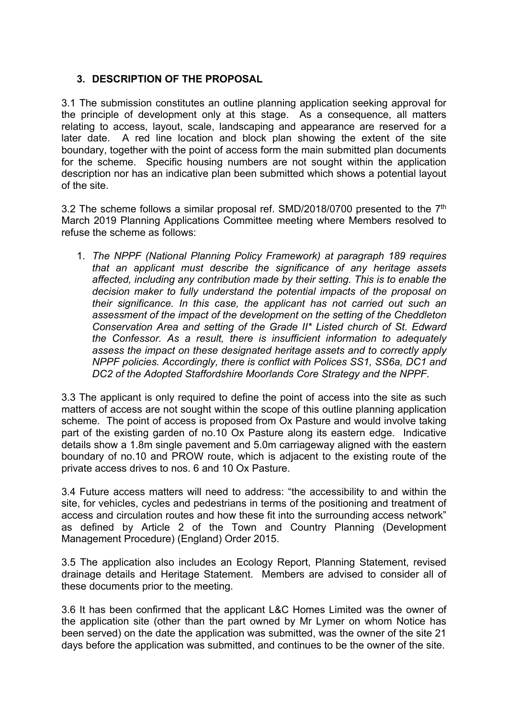# **3. DESCRIPTION OF THE PROPOSAL**

3.1 The submission constitutes an outline planning application seeking approval for the principle of development only at this stage. As a consequence, all matters relating to access, layout, scale, landscaping and appearance are reserved for a later date. A red line location and block plan showing the extent of the site boundary, together with the point of access form the main submitted plan documents for the scheme. Specific housing numbers are not sought within the application description nor has an indicative plan been submitted which shows a potential layout of the site.

3.2 The scheme follows a similar proposal ref.  $SMD/2018/0700$  presented to the  $7<sup>th</sup>$ March 2019 Planning Applications Committee meeting where Members resolved to refuse the scheme as follows:

1. *The NPPF (National Planning Policy Framework) at paragraph 189 requires that an applicant must describe the significance of any heritage assets affected, including any contribution made by their setting. This is to enable the decision maker to fully understand the potential impacts of the proposal on their significance. In this case, the applicant has not carried out such an assessment of the impact of the development on the setting of the Cheddleton Conservation Area and setting of the Grade II\* Listed church of St. Edward the Confessor. As a result, there is insufficient information to adequately assess the impact on these designated heritage assets and to correctly apply NPPF policies. Accordingly, there is conflict with Polices SS1, SS6a, DC1 and DC2 of the Adopted Staffordshire Moorlands Core Strategy and the NPPF.*

3.3 The applicant is only required to define the point of access into the site as such matters of access are not sought within the scope of this outline planning application scheme. The point of access is proposed from Ox Pasture and would involve taking part of the existing garden of no.10 Ox Pasture along its eastern edge. Indicative details show a 1.8m single pavement and 5.0m carriageway aligned with the eastern boundary of no.10 and PROW route, which is adjacent to the existing route of the private access drives to nos. 6 and 10 Ox Pasture.

3.4 Future access matters will need to address: "the accessibility to and within the site, for vehicles, cycles and pedestrians in terms of the positioning and treatment of access and circulation routes and how these fit into the surrounding access network" as defined by Article 2 of the Town and Country Planning (Development Management Procedure) (England) Order 2015.

3.5 The application also includes an Ecology Report, Planning Statement, revised drainage details and Heritage Statement. Members are advised to consider all of these documents prior to the meeting.

3.6 It has been confirmed that the applicant L&C Homes Limited was the owner of the application site (other than the part owned by Mr Lymer on whom Notice has been served) on the date the application was submitted, was the owner of the site 21 days before the application was submitted, and continues to be the owner of the site.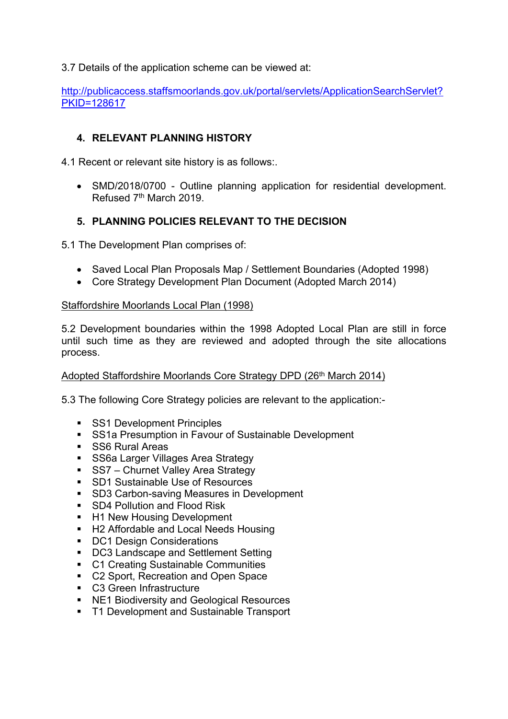3.7 Details of the application scheme can be viewed at:

[http://publicaccess.staffsmoorlands.gov.uk/portal/servlets/ApplicationSearchServlet?](http://publicaccess.staffsmoorlands.gov.uk/portal/servlets/ApplicationSearchServlet?PKID=128617) [PKID=128617](http://publicaccess.staffsmoorlands.gov.uk/portal/servlets/ApplicationSearchServlet?PKID=128617)

# **4. RELEVANT PLANNING HISTORY**

4.1 Recent or relevant site history is as follows:.

 SMD/2018/0700 - Outline planning application for residential development. Refused 7<sup>th</sup> March 2019.

# **5. PLANNING POLICIES RELEVANT TO THE DECISION**

5.1 The Development Plan comprises of:

- Saved Local Plan Proposals Map / Settlement Boundaries (Adopted 1998)
- Core Strategy Development Plan Document (Adopted March 2014)

## Staffordshire Moorlands Local Plan (1998)

5.2 Development boundaries within the 1998 Adopted Local Plan are still in force until such time as they are reviewed and adopted through the site allocations process.

## Adopted Staffordshire Moorlands Core Strategy DPD (26<sup>th</sup> March 2014)

5.3 The following Core Strategy policies are relevant to the application:-

- **SS1 Development Principles**
- SS1a Presumption in Favour of Sustainable Development
- SS6 Rural Areas
- **SS6a Larger Villages Area Strategy**
- SS7 Churnet Valley Area Strategy
- SD1 Sustainable Use of Resources
- SD3 Carbon-saving Measures in Development
- **SD4 Pollution and Flood Risk**
- H1 New Housing Development
- H2 Affordable and Local Needs Housing
- **DC1 Design Considerations**
- DC3 Landscape and Settlement Setting
- **C1 Creating Sustainable Communities**
- C2 Sport, Recreation and Open Space
- C3 Green Infrastructure
- NE1 Biodiversity and Geological Resources
- T1 Development and Sustainable Transport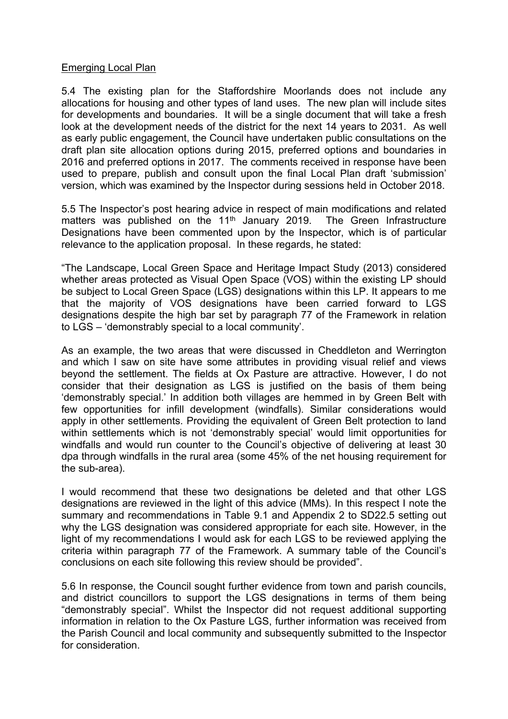#### Emerging Local Plan

5.4 The existing plan for the Staffordshire Moorlands does not include any allocations for housing and other types of land uses. The new plan will include sites for developments and boundaries. It will be a single document that will take a fresh look at the development needs of the district for the next 14 years to 2031. As well as early public engagement, the Council have undertaken public consultations on the draft plan site allocation options during 2015, preferred options and boundaries in 2016 and preferred options in 2017. The comments received in response have been used to prepare, publish and consult upon the final Local Plan draft 'submission' version, which was examined by the Inspector during sessions held in October 2018.

5.5 The Inspector's post hearing advice in respect of main modifications and related matters was published on the 11<sup>th</sup> January 2019. The Green Infrastructure Designations have been commented upon by the Inspector, which is of particular relevance to the application proposal. In these regards, he stated:

"The Landscape, Local Green Space and Heritage Impact Study (2013) considered whether areas protected as Visual Open Space (VOS) within the existing LP should be subject to Local Green Space (LGS) designations within this LP. It appears to me that the majority of VOS designations have been carried forward to LGS designations despite the high bar set by paragraph 77 of the Framework in relation to LGS – 'demonstrably special to a local community'.

As an example, the two areas that were discussed in Cheddleton and Werrington and which I saw on site have some attributes in providing visual relief and views beyond the settlement. The fields at Ox Pasture are attractive. However, I do not consider that their designation as LGS is justified on the basis of them being 'demonstrably special.' In addition both villages are hemmed in by Green Belt with few opportunities for infill development (windfalls). Similar considerations would apply in other settlements. Providing the equivalent of Green Belt protection to land within settlements which is not 'demonstrably special' would limit opportunities for windfalls and would run counter to the Council's objective of delivering at least 30 dpa through windfalls in the rural area (some 45% of the net housing requirement for the sub-area).

I would recommend that these two designations be deleted and that other LGS designations are reviewed in the light of this advice (MMs). In this respect I note the summary and recommendations in Table 9.1 and Appendix 2 to SD22.5 setting out why the LGS designation was considered appropriate for each site. However, in the light of my recommendations I would ask for each LGS to be reviewed applying the criteria within paragraph 77 of the Framework. A summary table of the Council's conclusions on each site following this review should be provided".

5.6 In response, the Council sought further evidence from town and parish councils, and district councillors to support the LGS designations in terms of them being "demonstrably special". Whilst the Inspector did not request additional supporting information in relation to the Ox Pasture LGS, further information was received from the Parish Council and local community and subsequently submitted to the Inspector for consideration.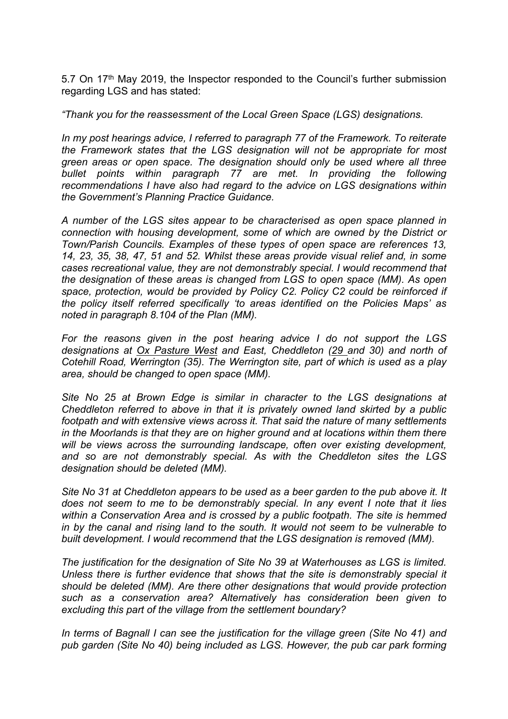5.7 On 17<sup>th</sup> May 2019, the Inspector responded to the Council's further submission regarding LGS and has stated:

*"Thank you for the reassessment of the Local Green Space (LGS) designations.*

*In my post hearings advice, I referred to paragraph 77 of the Framework. To reiterate the Framework states that the LGS designation will not be appropriate for most green areas or open space. The designation should only be used where all three bullet points within paragraph 77 are met. In providing the following recommendations I have also had regard to the advice on LGS designations within the Government's Planning Practice Guidance.*

*A number of the LGS sites appear to be characterised as open space planned in connection with housing development, some of which are owned by the District or Town/Parish Councils. Examples of these types of open space are references 13, 14, 23, 35, 38, 47, 51 and 52. Whilst these areas provide visual relief and, in some cases recreational value, they are not demonstrably special. I would recommend that the designation of these areas is changed from LGS to open space (MM). As open space, protection, would be provided by Policy C2. Policy C2 could be reinforced if the policy itself referred specifically 'to areas identified on the Policies Maps' as noted in paragraph 8.104 of the Plan (MM).*

*For the reasons given in the post hearing advice I do not support the LGS designations at Ox Pasture West and East, Cheddleton (29 and 30) and north of Cotehill Road, Werrington (35). The Werrington site, part of which is used as a play area, should be changed to open space (MM).*

*Site No 25 at Brown Edge is similar in character to the LGS designations at Cheddleton referred to above in that it is privately owned land skirted by a public footpath and with extensive views across it. That said the nature of many settlements in the Moorlands is that they are on higher ground and at locations within them there will be views across the surrounding landscape, often over existing development, and so are not demonstrably special. As with the Cheddleton sites the LGS designation should be deleted (MM).*

*Site No 31 at Cheddleton appears to be used as a beer garden to the pub above it. It does not seem to me to be demonstrably special. In any event I note that it lies within a Conservation Area and is crossed by a public footpath. The site is hemmed in by the canal and rising land to the south. It would not seem to be vulnerable to built development. I would recommend that the LGS designation is removed (MM).*

*The justification for the designation of Site No 39 at Waterhouses as LGS is limited. Unless there is further evidence that shows that the site is demonstrably special it should be deleted (MM). Are there other designations that would provide protection such as a conservation area? Alternatively has consideration been given to excluding this part of the village from the settlement boundary?*

*In terms of Bagnall I can see the justification for the village green (Site No 41) and pub garden (Site No 40) being included as LGS. However, the pub car park forming*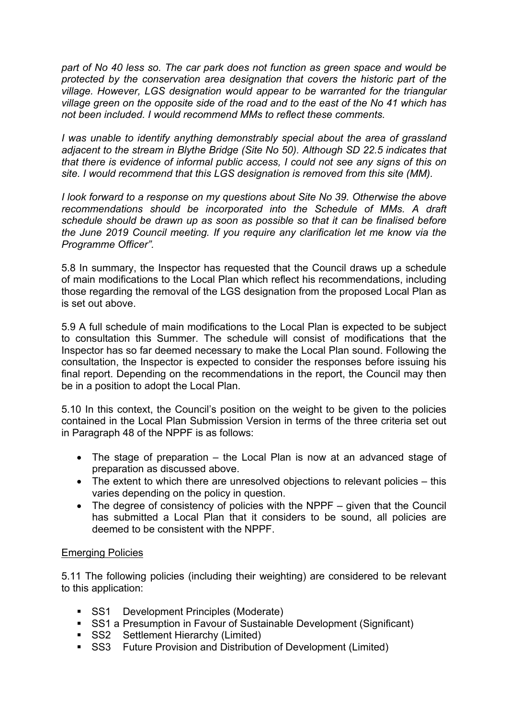*part of No 40 less so. The car park does not function as green space and would be protected by the conservation area designation that covers the historic part of the village. However, LGS designation would appear to be warranted for the triangular village green on the opposite side of the road and to the east of the No 41 which has not been included. I would recommend MMs to reflect these comments.*

*I was unable to identify anything demonstrably special about the area of grassland adjacent to the stream in Blythe Bridge (Site No 50). Although SD 22.5 indicates that that there is evidence of informal public access, I could not see any signs of this on site. I would recommend that this LGS designation is removed from this site (MM).*

*I look forward to a response on my questions about Site No 39. Otherwise the above recommendations should be incorporated into the Schedule of MMs. A draft schedule should be drawn up as soon as possible so that it can be finalised before the June 2019 Council meeting. If you require any clarification let me know via the Programme Officer".*

5.8 In summary, the Inspector has requested that the Council draws up a schedule of main modifications to the Local Plan which reflect his recommendations, including those regarding the removal of the LGS designation from the proposed Local Plan as is set out above.

5.9 A full schedule of main modifications to the Local Plan is expected to be subject to consultation this Summer. The schedule will consist of modifications that the Inspector has so far deemed necessary to make the Local Plan sound. Following the consultation, the Inspector is expected to consider the responses before issuing his final report. Depending on the recommendations in the report, the Council may then be in a position to adopt the Local Plan.

5.10 In this context, the Council's position on the weight to be given to the policies contained in the Local Plan Submission Version in terms of the three criteria set out in Paragraph 48 of the NPPF is as follows:

- The stage of preparation the Local Plan is now at an advanced stage of preparation as discussed above.
- The extent to which there are unresolved objections to relevant policies this varies depending on the policy in question.
- The degree of consistency of policies with the NPPF given that the Council has submitted a Local Plan that it considers to be sound, all policies are deemed to be consistent with the NPPF.

## Emerging Policies

5.11 The following policies (including their weighting) are considered to be relevant to this application:

- **SS1** Development Principles (Moderate)
- SS1 a Presumption in Favour of Sustainable Development (Significant)
- **SS2** Settlement Hierarchy (Limited)
- SS3 Future Provision and Distribution of Development (Limited)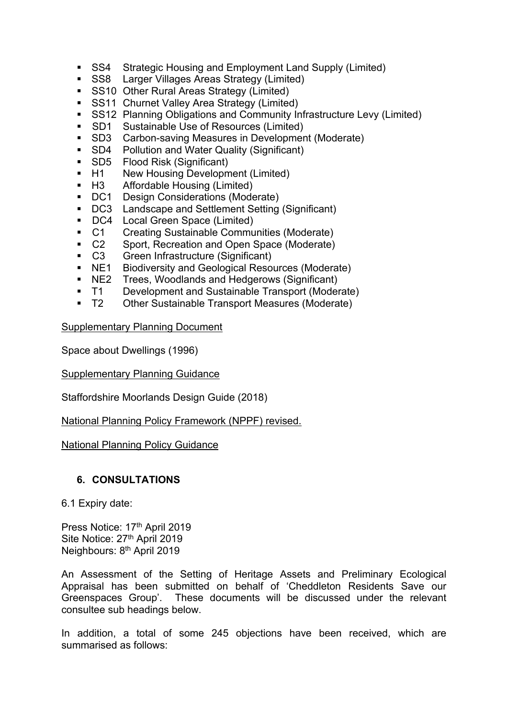- SS4 Strategic Housing and Employment Land Supply (Limited)
- **SS8** Larger Villages Areas Strategy (Limited)
- **SS10 Other Rural Areas Strategy (Limited)**
- **SS11 Churnet Valley Area Strategy (Limited)**
- SS12 Planning Obligations and Community Infrastructure Levy (Limited)
- **SD1** Sustainable Use of Resources (Limited)
- SD3 Carbon-saving Measures in Development (Moderate)
- SD4 Pollution and Water Quality (Significant)
- SD5 Flood Risk (Significant)
- H1 New Housing Development (Limited)
- H3 Affordable Housing (Limited)
- DC1 Design Considerations (Moderate)
- DC3 Landscape and Settlement Setting (Significant)
- DC4 Local Green Space (Limited)
- C1 Creating Sustainable Communities (Moderate)
- C2 Sport, Recreation and Open Space (Moderate)
- C3 Green Infrastructure (Significant)
- **NE1** Biodiversity and Geological Resources (Moderate)
- NE2 Trees, Woodlands and Hedgerows (Significant)
- T1 Development and Sustainable Transport (Moderate)
- T2 Other Sustainable Transport Measures (Moderate)

## Supplementary Planning Document

Space about Dwellings (1996)

Supplementary Planning Guidance

Staffordshire Moorlands Design Guide (2018)

National Planning Policy Framework (NPPF) revised.

## National Planning Policy Guidance

## **6. CONSULTATIONS**

6.1 Expiry date:

Press Notice: 17th April 2019 Site Notice: 27<sup>th</sup> April 2019 Neighbours: 8 th April 2019

An Assessment of the Setting of Heritage Assets and Preliminary Ecological Appraisal has been submitted on behalf of 'Cheddleton Residents Save our Greenspaces Group'. These documents will be discussed under the relevant consultee sub headings below.

In addition, a total of some 245 objections have been received, which are summarised as follows: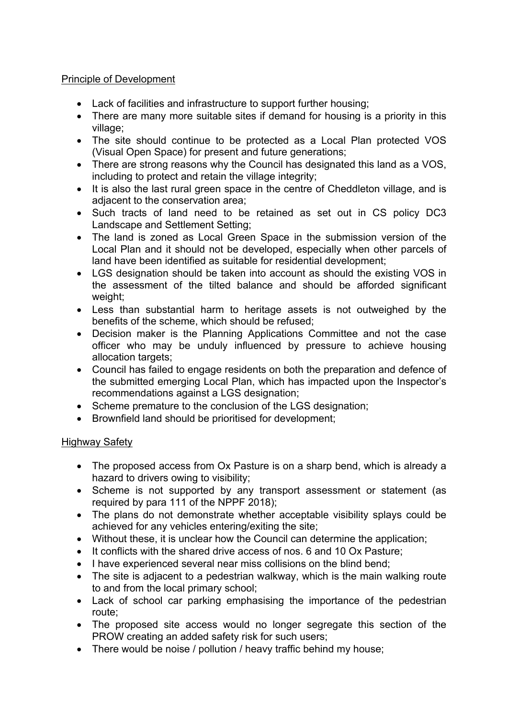## Principle of Development

- Lack of facilities and infrastructure to support further housing;
- There are many more suitable sites if demand for housing is a priority in this village;
- The site should continue to be protected as a Local Plan protected VOS (Visual Open Space) for present and future generations;
- There are strong reasons why the Council has designated this land as a VOS, including to protect and retain the village integrity;
- It is also the last rural green space in the centre of Cheddleton village, and is adjacent to the conservation area;
- Such tracts of land need to be retained as set out in CS policy DC3 Landscape and Settlement Setting;
- The land is zoned as Local Green Space in the submission version of the Local Plan and it should not be developed, especially when other parcels of land have been identified as suitable for residential development;
- LGS designation should be taken into account as should the existing VOS in the assessment of the tilted balance and should be afforded significant weight;
- Less than substantial harm to heritage assets is not outweighed by the benefits of the scheme, which should be refused;
- Decision maker is the Planning Applications Committee and not the case officer who may be unduly influenced by pressure to achieve housing allocation targets;
- Council has failed to engage residents on both the preparation and defence of the submitted emerging Local Plan, which has impacted upon the Inspector's recommendations against a LGS designation;
- Scheme premature to the conclusion of the LGS designation;
- Brownfield land should be prioritised for development;

# Highway Safety

- The proposed access from Ox Pasture is on a sharp bend, which is already a hazard to drivers owing to visibility;
- Scheme is not supported by any transport assessment or statement (as required by para 111 of the NPPF 2018);
- The plans do not demonstrate whether acceptable visibility splays could be achieved for any vehicles entering/exiting the site;
- Without these, it is unclear how the Council can determine the application;
- It conflicts with the shared drive access of nos. 6 and 10 Ox Pasture:
- I have experienced several near miss collisions on the blind bend;
- The site is adjacent to a pedestrian walkway, which is the main walking route to and from the local primary school;
- Lack of school car parking emphasising the importance of the pedestrian route;
- The proposed site access would no longer segregate this section of the PROW creating an added safety risk for such users;
- There would be noise / pollution / heavy traffic behind my house: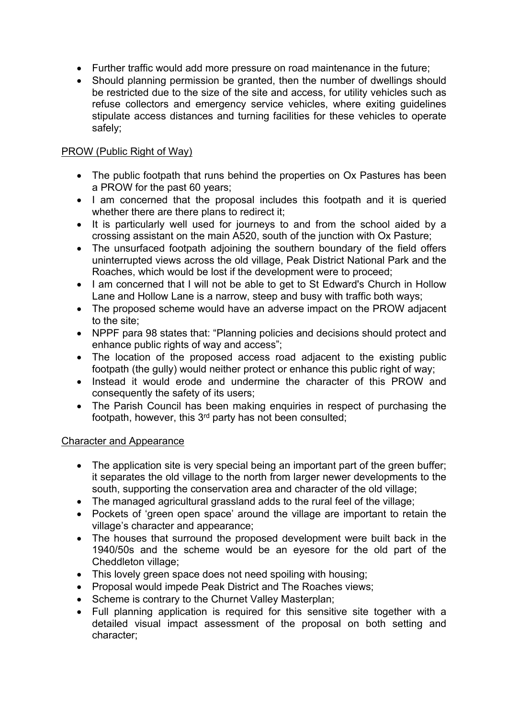- Further traffic would add more pressure on road maintenance in the future;
- Should planning permission be granted, then the number of dwellings should be restricted due to the size of the site and access, for utility vehicles such as refuse collectors and emergency service vehicles, where exiting guidelines stipulate access distances and turning facilities for these vehicles to operate safely;

## PROW (Public Right of Way)

- The public footpath that runs behind the properties on Ox Pastures has been a PROW for the past 60 years;
- I am concerned that the proposal includes this footpath and it is queried whether there are there plans to redirect it;
- It is particularly well used for journeys to and from the school aided by a crossing assistant on the main A520, south of the junction with Ox Pasture;
- The unsurfaced footpath adjoining the southern boundary of the field offers uninterrupted views across the old village, Peak District National Park and the Roaches, which would be lost if the development were to proceed;
- I am concerned that I will not be able to get to St Edward's Church in Hollow Lane and Hollow Lane is a narrow, steep and busy with traffic both ways;
- The proposed scheme would have an adverse impact on the PROW adjacent to the site;
- NPPF para 98 states that: "Planning policies and decisions should protect and enhance public rights of way and access";
- The location of the proposed access road adjacent to the existing public footpath (the gully) would neither protect or enhance this public right of way;
- Instead it would erode and undermine the character of this PROW and consequently the safety of its users;
- The Parish Council has been making enquiries in respect of purchasing the footpath, however, this 3<sup>rd</sup> party has not been consulted;

## Character and Appearance

- The application site is very special being an important part of the green buffer: it separates the old village to the north from larger newer developments to the south, supporting the conservation area and character of the old village;
- The managed agricultural grassland adds to the rural feel of the village;
- Pockets of 'green open space' around the village are important to retain the village's character and appearance;
- The houses that surround the proposed development were built back in the 1940/50s and the scheme would be an eyesore for the old part of the Cheddleton village;
- This lovely green space does not need spoiling with housing;
- Proposal would impede Peak District and The Roaches views;
- Scheme is contrary to the Churnet Valley Masterplan;
- Full planning application is required for this sensitive site together with a detailed visual impact assessment of the proposal on both setting and character;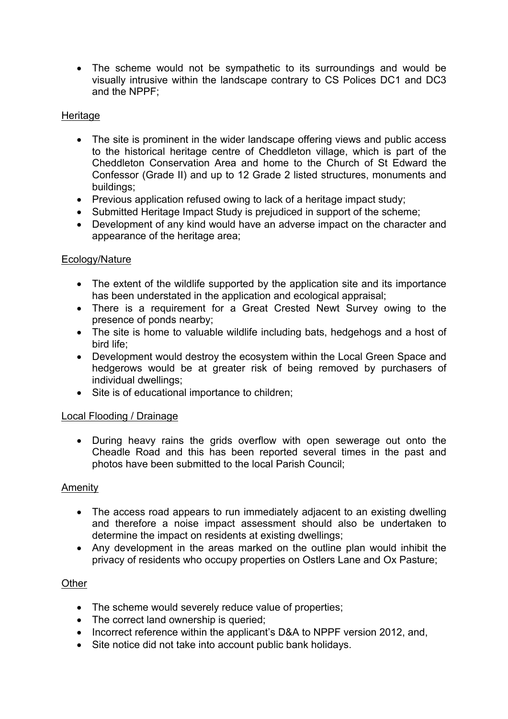• The scheme would not be sympathetic to its surroundings and would be visually intrusive within the landscape contrary to CS Polices DC1 and DC3 and the NPPF;

## **Heritage**

- The site is prominent in the wider landscape offering views and public access to the historical heritage centre of Cheddleton village, which is part of the Cheddleton Conservation Area and home to the Church of St Edward the Confessor (Grade II) and up to 12 Grade 2 listed structures, monuments and buildings;
- Previous application refused owing to lack of a heritage impact study;
- Submitted Heritage Impact Study is prejudiced in support of the scheme;
- Development of any kind would have an adverse impact on the character and appearance of the heritage area;

## Ecology/Nature

- The extent of the wildlife supported by the application site and its importance has been understated in the application and ecological appraisal;
- There is a requirement for a Great Crested Newt Survey owing to the presence of ponds nearby;
- The site is home to valuable wildlife including bats, hedgehogs and a host of bird life;
- Development would destroy the ecosystem within the Local Green Space and hedgerows would be at greater risk of being removed by purchasers of individual dwellings;
- Site is of educational importance to children;

## Local Flooding / Drainage

 During heavy rains the grids overflow with open sewerage out onto the Cheadle Road and this has been reported several times in the past and photos have been submitted to the local Parish Council;

## Amenity

- The access road appears to run immediately adjacent to an existing dwelling and therefore a noise impact assessment should also be undertaken to determine the impact on residents at existing dwellings;
- Any development in the areas marked on the outline plan would inhibit the privacy of residents who occupy properties on Ostlers Lane and Ox Pasture;

## **Other**

- The scheme would severely reduce value of properties;
- The correct land ownership is queried;
- Incorrect reference within the applicant's D&A to NPPF version 2012, and,
- Site notice did not take into account public bank holidays.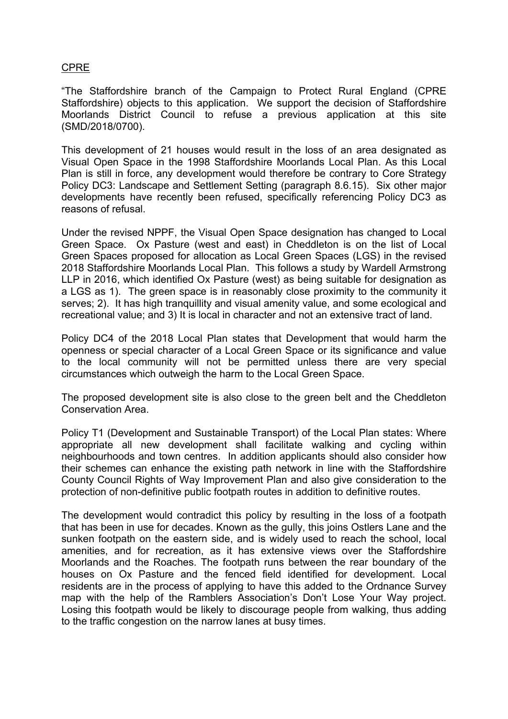## CPRE

"The Staffordshire branch of the Campaign to Protect Rural England (CPRE Staffordshire) objects to this application. We support the decision of Staffordshire Moorlands District Council to refuse a previous application at this site (SMD/2018/0700).

This development of 21 houses would result in the loss of an area designated as Visual Open Space in the 1998 Staffordshire Moorlands Local Plan. As this Local Plan is still in force, any development would therefore be contrary to Core Strategy Policy DC3: Landscape and Settlement Setting (paragraph 8.6.15). Six other major developments have recently been refused, specifically referencing Policy DC3 as reasons of refusal.

Under the revised NPPF, the Visual Open Space designation has changed to Local Green Space. Ox Pasture (west and east) in Cheddleton is on the list of Local Green Spaces proposed for allocation as Local Green Spaces (LGS) in the revised 2018 Staffordshire Moorlands Local Plan. This follows a study by Wardell Armstrong LLP in 2016, which identified Ox Pasture (west) as being suitable for designation as a LGS as 1). The green space is in reasonably close proximity to the community it serves; 2). It has high tranquillity and visual amenity value, and some ecological and recreational value; and 3) It is local in character and not an extensive tract of land.

Policy DC4 of the 2018 Local Plan states that Development that would harm the openness or special character of a Local Green Space or its significance and value to the local community will not be permitted unless there are very special circumstances which outweigh the harm to the Local Green Space.

The proposed development site is also close to the green belt and the Cheddleton Conservation Area.

Policy T1 (Development and Sustainable Transport) of the Local Plan states: Where appropriate all new development shall facilitate walking and cycling within neighbourhoods and town centres. In addition applicants should also consider how their schemes can enhance the existing path network in line with the Staffordshire County Council Rights of Way Improvement Plan and also give consideration to the protection of non-definitive public footpath routes in addition to definitive routes.

The development would contradict this policy by resulting in the loss of a footpath that has been in use for decades. Known as the gully, this joins Ostlers Lane and the sunken footpath on the eastern side, and is widely used to reach the school, local amenities, and for recreation, as it has extensive views over the Staffordshire Moorlands and the Roaches. The footpath runs between the rear boundary of the houses on Ox Pasture and the fenced field identified for development. Local residents are in the process of applying to have this added to the Ordnance Survey map with the help of the Ramblers Association's Don't Lose Your Way project. Losing this footpath would be likely to discourage people from walking, thus adding to the traffic congestion on the narrow lanes at busy times.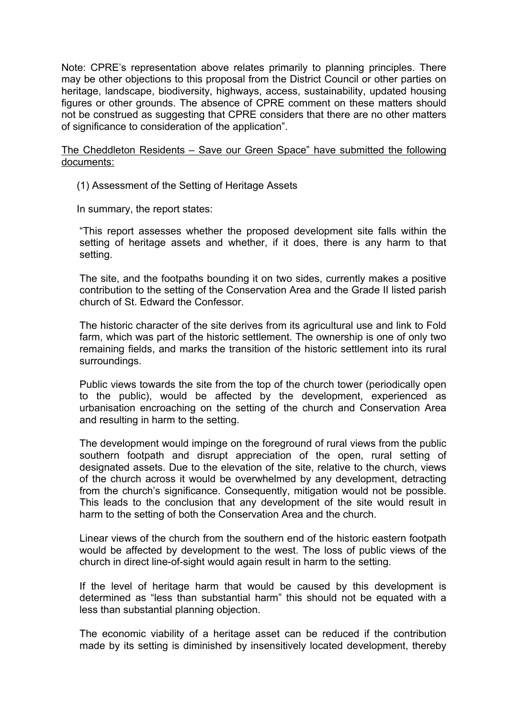Note: CPRE's representation above relates primarily to planning principles. There may be other objections to this proposal from the District Council or other parties on heritage, landscape, biodiversity, highways, access, sustainability, updated housing figures or other grounds. The absence of CPRE comment on these matters should not be construed as suggesting that CPRE considers that there are no other matters of significance to consideration of the application".

The Cheddleton Residents – Save our Green Space" have submitted the following documents:

(1) Assessment of the Setting of Heritage Assets

In summary, the report states:

"This report assesses whether the proposed development site falls within the setting of heritage assets and whether, if it does, there is any harm to that setting.

The site, and the footpaths bounding it on two sides, currently makes a positive contribution to the setting of the Conservation Area and the Grade II listed parish church of St. Edward the Confessor.

The historic character of the site derives from its agricultural use and link to Fold farm, which was part of the historic settlement. The ownership is one of only two remaining fields, and marks the transition of the historic settlement into its rural surroundings.

Public views towards the site from the top of the church tower (periodically open to the public), would be affected by the development, experienced as urbanisation encroaching on the setting of the church and Conservation Area and resulting in harm to the setting.

The development would impinge on the foreground of rural views from the public southern footpath and disrupt appreciation of the open, rural setting of designated assets. Due to the elevation of the site, relative to the church, views of the church across it would be overwhelmed by any development, detracting from the church's significance. Consequently, mitigation would not be possible. This leads to the conclusion that any development of the site would result in harm to the setting of both the Conservation Area and the church.

Linear views of the church from the southern end of the historic eastern footpath would be affected by development to the west. The loss of public views of the church in direct line-of-sight would again result in harm to the setting.

If the level of heritage harm that would be caused by this development is determined as "less than substantial harm" this should not be equated with a less than substantial planning objection.

The economic viability of a heritage asset can be reduced if the contribution made by its setting is diminished by insensitively located development, thereby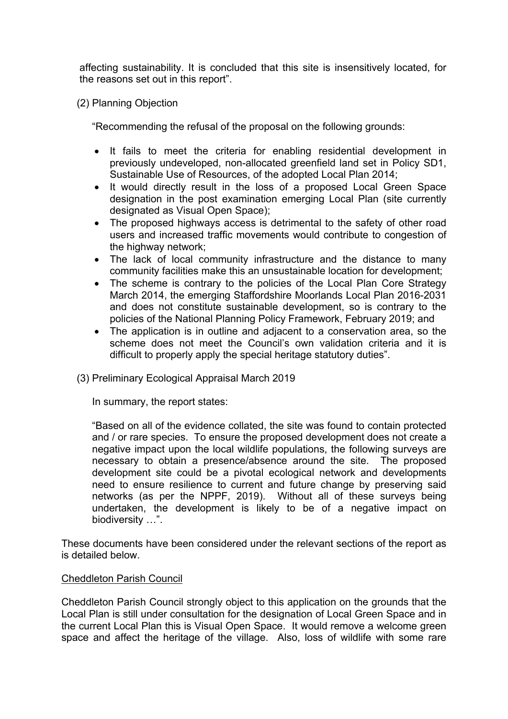affecting sustainability. It is concluded that this site is insensitively located, for the reasons set out in this report".

(2) Planning Objection

"Recommending the refusal of the proposal on the following grounds:

- It fails to meet the criteria for enabling residential development in previously undeveloped, non-allocated greenfield land set in Policy SD1, Sustainable Use of Resources, of the adopted Local Plan 2014;
- It would directly result in the loss of a proposed Local Green Space designation in the post examination emerging Local Plan (site currently designated as Visual Open Space);
- The proposed highways access is detrimental to the safety of other road users and increased traffic movements would contribute to congestion of the highway network;
- The lack of local community infrastructure and the distance to many community facilities make this an unsustainable location for development;
- The scheme is contrary to the policies of the Local Plan Core Strategy March 2014, the emerging Staffordshire Moorlands Local Plan 2016-2031 and does not constitute sustainable development, so is contrary to the policies of the National Planning Policy Framework, February 2019; and
- The application is in outline and adjacent to a conservation area, so the scheme does not meet the Council's own validation criteria and it is difficult to properly apply the special heritage statutory duties".
- (3) Preliminary Ecological Appraisal March 2019

In summary, the report states:

"Based on all of the evidence collated, the site was found to contain protected and / or rare species. To ensure the proposed development does not create a negative impact upon the local wildlife populations, the following surveys are necessary to obtain a presence/absence around the site. The proposed development site could be a pivotal ecological network and developments need to ensure resilience to current and future change by preserving said networks (as per the NPPF, 2019). Without all of these surveys being undertaken, the development is likely to be of a negative impact on biodiversity …".

These documents have been considered under the relevant sections of the report as is detailed below.

## Cheddleton Parish Council

Cheddleton Parish Council strongly object to this application on the grounds that the Local Plan is still under consultation for the designation of Local Green Space and in the current Local Plan this is Visual Open Space. It would remove a welcome green space and affect the heritage of the village. Also, loss of wildlife with some rare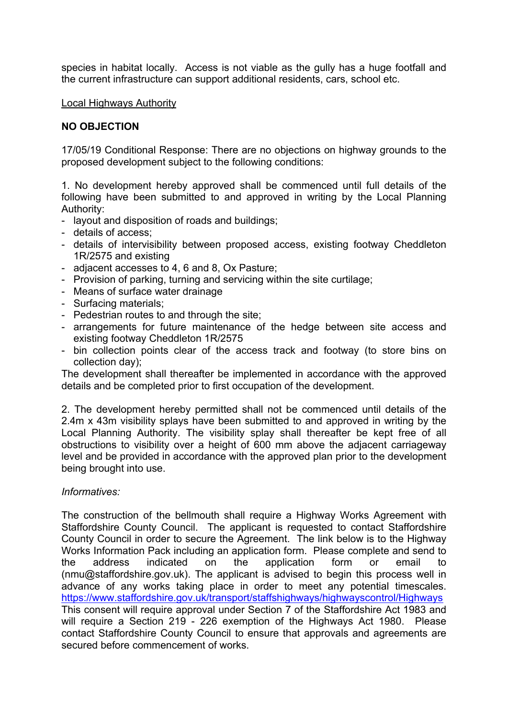species in habitat locally. Access is not viable as the gully has a huge footfall and the current infrastructure can support additional residents, cars, school etc.

Local Highways Authority

# **NO OBJECTION**

17/05/19 Conditional Response: There are no objections on highway grounds to the proposed development subject to the following conditions:

1. No development hereby approved shall be commenced until full details of the following have been submitted to and approved in writing by the Local Planning Authority:

- layout and disposition of roads and buildings;
- details of access;
- details of intervisibility between proposed access, existing footway Cheddleton 1R/2575 and existing
- adjacent accesses to 4, 6 and 8, Ox Pasture;
- Provision of parking, turning and servicing within the site curtilage;
- Means of surface water drainage
- Surfacing materials;
- Pedestrian routes to and through the site;
- arrangements for future maintenance of the hedge between site access and existing footway Cheddleton 1R/2575
- bin collection points clear of the access track and footway (to store bins on collection day);

The development shall thereafter be implemented in accordance with the approved details and be completed prior to first occupation of the development.

2. The development hereby permitted shall not be commenced until details of the 2.4m x 43m visibility splays have been submitted to and approved in writing by the Local Planning Authority. The visibility splay shall thereafter be kept free of all obstructions to visibility over a height of 600 mm above the adjacent carriageway level and be provided in accordance with the approved plan prior to the development being brought into use.

## *Informatives:*

The construction of the bellmouth shall require a Highway Works Agreement with Staffordshire County Council. The applicant is requested to contact Staffordshire County Council in order to secure the Agreement. The link below is to the Highway Works Information Pack including an application form. Please complete and send to the address indicated on the application form or email to (nmu@staffordshire.gov.uk). The applicant is advised to begin this process well in advance of any works taking place in order to meet any potential timescales. <https://www.staffordshire.gov.uk/transport/staffshighways/highwayscontrol/Highways> This consent will require approval under Section 7 of the Staffordshire Act 1983 and will require a Section 219 - 226 exemption of the Highways Act 1980. Please contact Staffordshire County Council to ensure that approvals and agreements are secured before commencement of works.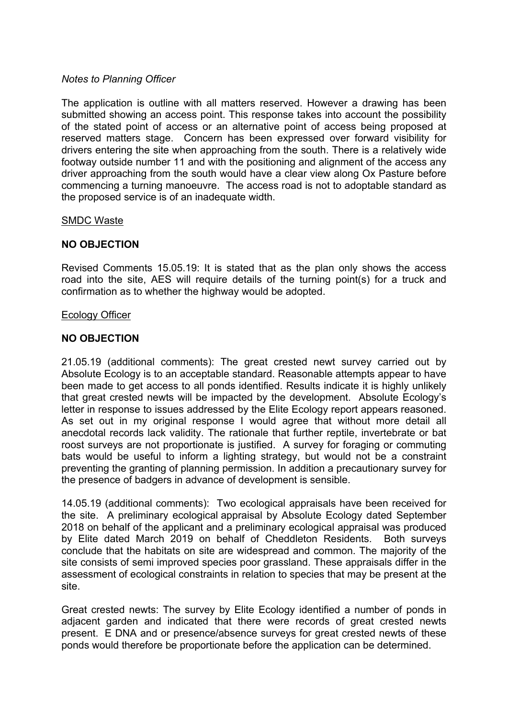#### *Notes to Planning Officer*

The application is outline with all matters reserved. However a drawing has been submitted showing an access point. This response takes into account the possibility of the stated point of access or an alternative point of access being proposed at reserved matters stage. Concern has been expressed over forward visibility for drivers entering the site when approaching from the south. There is a relatively wide footway outside number 11 and with the positioning and alignment of the access any driver approaching from the south would have a clear view along Ox Pasture before commencing a turning manoeuvre. The access road is not to adoptable standard as the proposed service is of an inadequate width.

#### SMDC Waste

## **NO OBJECTION**

Revised Comments 15.05.19: It is stated that as the plan only shows the access road into the site, AES will require details of the turning point(s) for a truck and confirmation as to whether the highway would be adopted.

#### Ecology Officer

## **NO OBJECTION**

21.05.19 (additional comments): The great crested newt survey carried out by Absolute Ecology is to an acceptable standard. Reasonable attempts appear to have been made to get access to all ponds identified. Results indicate it is highly unlikely that great crested newts will be impacted by the development. Absolute Ecology's letter in response to issues addressed by the Elite Ecology report appears reasoned. As set out in my original response I would agree that without more detail all anecdotal records lack validity. The rationale that further reptile, invertebrate or bat roost surveys are not proportionate is justified. A survey for foraging or commuting bats would be useful to inform a lighting strategy, but would not be a constraint preventing the granting of planning permission. In addition a precautionary survey for the presence of badgers in advance of development is sensible.

14.05.19 (additional comments): Two ecological appraisals have been received for the site. A preliminary ecological appraisal by Absolute Ecology dated September 2018 on behalf of the applicant and a preliminary ecological appraisal was produced by Elite dated March 2019 on behalf of Cheddleton Residents. Both surveys conclude that the habitats on site are widespread and common. The majority of the site consists of semi improved species poor grassland. These appraisals differ in the assessment of ecological constraints in relation to species that may be present at the site.

Great crested newts: The survey by Elite Ecology identified a number of ponds in adjacent garden and indicated that there were records of great crested newts present. E DNA and or presence/absence surveys for great crested newts of these ponds would therefore be proportionate before the application can be determined.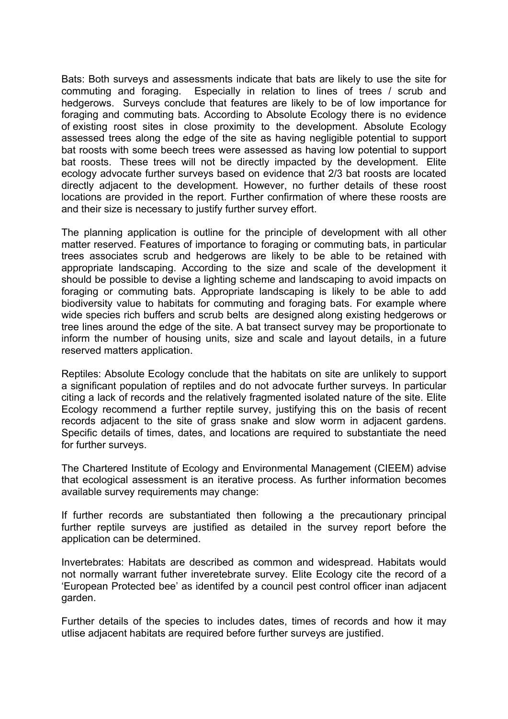Bats: Both surveys and assessments indicate that bats are likely to use the site for commuting and foraging. Especially in relation to lines of trees / scrub and hedgerows. Surveys conclude that features are likely to be of low importance for foraging and commuting bats. According to Absolute Ecology there is no evidence of existing roost sites in close proximity to the development. Absolute Ecology assessed trees along the edge of the site as having negligible potential to support bat roosts with some beech trees were assessed as having low potential to support bat roosts. These trees will not be directly impacted by the development. Elite ecology advocate further surveys based on evidence that 2/3 bat roosts are located directly adjacent to the development. However, no further details of these roost locations are provided in the report. Further confirmation of where these roosts are and their size is necessary to justify further survey effort.

The planning application is outline for the principle of development with all other matter reserved. Features of importance to foraging or commuting bats, in particular trees associates scrub and hedgerows are likely to be able to be retained with appropriate landscaping. According to the size and scale of the development it should be possible to devise a lighting scheme and landscaping to avoid impacts on foraging or commuting bats. Appropriate landscaping is likely to be able to add biodiversity value to habitats for commuting and foraging bats. For example where wide species rich buffers and scrub belts are designed along existing hedgerows or tree lines around the edge of the site. A bat transect survey may be proportionate to inform the number of housing units, size and scale and layout details, in a future reserved matters application.

Reptiles: Absolute Ecology conclude that the habitats on site are unlikely to support a significant population of reptiles and do not advocate further surveys. In particular citing a lack of records and the relatively fragmented isolated nature of the site. Elite Ecology recommend a further reptile survey, justifying this on the basis of recent records adjacent to the site of grass snake and slow worm in adjacent gardens. Specific details of times, dates, and locations are required to substantiate the need for further surveys.

The Chartered Institute of Ecology and Environmental Management (CIEEM) advise that ecological assessment is an iterative process. As further information becomes available survey requirements may change:

If further records are substantiated then following a the precautionary principal further reptile surveys are justified as detailed in the survey report before the application can be determined.

Invertebrates: Habitats are described as common and widespread. Habitats would not normally warrant futher inveretebrate survey. Elite Ecology cite the record of a 'European Protected bee' as identifed by a council pest control officer inan adjacent garden.

Further details of the species to includes dates, times of records and how it may utlise adjacent habitats are required before further surveys are justified.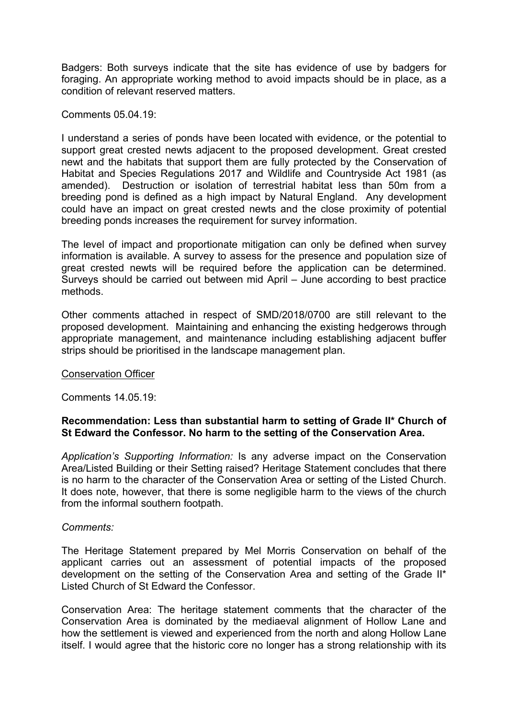Badgers: Both surveys indicate that the site has evidence of use by badgers for foraging. An appropriate working method to avoid impacts should be in place, as a condition of relevant reserved matters.

Comments 05.04.19:

I understand a series of ponds have been located with evidence, or the potential to support great crested newts adjacent to the proposed development. Great crested newt and the habitats that support them are fully protected by the Conservation of Habitat and Species Regulations 2017 and Wildlife and Countryside Act 1981 (as amended). Destruction or isolation of terrestrial habitat less than 50m from a breeding pond is defined as a high impact by Natural England. Any development could have an impact on great crested newts and the close proximity of potential breeding ponds increases the requirement for survey information.

The level of impact and proportionate mitigation can only be defined when survey information is available. A survey to assess for the presence and population size of great crested newts will be required before the application can be determined. Surveys should be carried out between mid April – June according to best practice methods.

Other comments attached in respect of SMD/2018/0700 are still relevant to the proposed development. Maintaining and enhancing the existing hedgerows through appropriate management, and maintenance including establishing adjacent buffer strips should be prioritised in the landscape management plan.

#### Conservation Officer

Comments 14.05.19:

## **Recommendation: Less than substantial harm to setting of Grade II\* Church of St Edward the Confessor. No harm to the setting of the Conservation Area.**

*Application's Supporting Information:* Is any adverse impact on the Conservation Area/Listed Building or their Setting raised? Heritage Statement concludes that there is no harm to the character of the Conservation Area or setting of the Listed Church. It does note, however, that there is some negligible harm to the views of the church from the informal southern footpath.

## *Comments:*

The Heritage Statement prepared by Mel Morris Conservation on behalf of the applicant carries out an assessment of potential impacts of the proposed development on the setting of the Conservation Area and setting of the Grade II\* Listed Church of St Edward the Confessor.

Conservation Area: The heritage statement comments that the character of the Conservation Area is dominated by the mediaeval alignment of Hollow Lane and how the settlement is viewed and experienced from the north and along Hollow Lane itself. I would agree that the historic core no longer has a strong relationship with its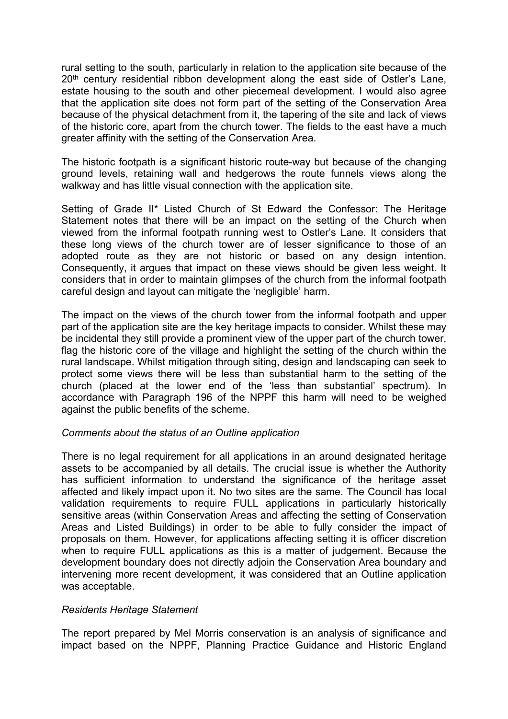rural setting to the south, particularly in relation to the application site because of the 20<sup>th</sup> century residential ribbon development along the east side of Ostler's Lane, estate housing to the south and other piecemeal development. I would also agree that the application site does not form part of the setting of the Conservation Area because of the physical detachment from it, the tapering of the site and lack of views of the historic core, apart from the church tower. The fields to the east have a much greater affinity with the setting of the Conservation Area.

The historic footpath is a significant historic route-way but because of the changing ground levels, retaining wall and hedgerows the route funnels views along the walkway and has little visual connection with the application site.

Setting of Grade II\* Listed Church of St Edward the Confessor: The Heritage Statement notes that there will be an impact on the setting of the Church when viewed from the informal footpath running west to Ostler's Lane. It considers that these long views of the church tower are of lesser significance to those of an adopted route as they are not historic or based on any design intention. Consequently, it argues that impact on these views should be given less weight. It considers that in order to maintain glimpses of the church from the informal footpath careful design and layout can mitigate the 'negligible' harm.

The impact on the views of the church tower from the informal footpath and upper part of the application site are the key heritage impacts to consider. Whilst these may be incidental they still provide a prominent view of the upper part of the church tower, flag the historic core of the village and highlight the setting of the church within the rural landscape. Whilst mitigation through siting, design and landscaping can seek to protect some views there will be less than substantial harm to the setting of the church (placed at the lower end of the 'less than substantial' spectrum). In accordance with Paragraph 196 of the NPPF this harm will need to be weighed against the public benefits of the scheme.

## *Comments about the status of an Outline application*

There is no legal requirement for all applications in an around designated heritage assets to be accompanied by all details. The crucial issue is whether the Authority has sufficient information to understand the significance of the heritage asset affected and likely impact upon it. No two sites are the same. The Council has local validation requirements to require FULL applications in particularly historically sensitive areas (within Conservation Areas and affecting the setting of Conservation Areas and Listed Buildings) in order to be able to fully consider the impact of proposals on them. However, for applications affecting setting it is officer discretion when to require FULL applications as this is a matter of judgement. Because the development boundary does not directly adjoin the Conservation Area boundary and intervening more recent development, it was considered that an Outline application was acceptable.

#### *Residents Heritage Statement*

The report prepared by Mel Morris conservation is an analysis of significance and impact based on the NPPF, Planning Practice Guidance and Historic England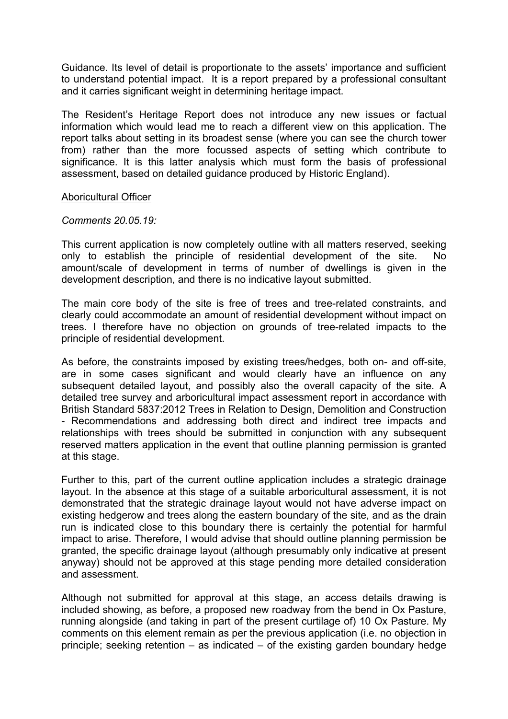Guidance. Its level of detail is proportionate to the assets' importance and sufficient to understand potential impact. It is a report prepared by a professional consultant and it carries significant weight in determining heritage impact.

The Resident's Heritage Report does not introduce any new issues or factual information which would lead me to reach a different view on this application. The report talks about setting in its broadest sense (where you can see the church tower from) rather than the more focussed aspects of setting which contribute to significance. It is this latter analysis which must form the basis of professional assessment, based on detailed guidance produced by Historic England).

#### Aboricultural Officer

#### *Comments 20.05.19:*

This current application is now completely outline with all matters reserved, seeking only to establish the principle of residential development of the site. No amount/scale of development in terms of number of dwellings is given in the development description, and there is no indicative layout submitted.

The main core body of the site is free of trees and tree-related constraints, and clearly could accommodate an amount of residential development without impact on trees. I therefore have no objection on grounds of tree-related impacts to the principle of residential development.

As before, the constraints imposed by existing trees/hedges, both on- and off-site, are in some cases significant and would clearly have an influence on any subsequent detailed layout, and possibly also the overall capacity of the site. A detailed tree survey and arboricultural impact assessment report in accordance with British Standard 5837:2012 Trees in Relation to Design, Demolition and Construction - Recommendations and addressing both direct and indirect tree impacts and relationships with trees should be submitted in conjunction with any subsequent reserved matters application in the event that outline planning permission is granted at this stage.

Further to this, part of the current outline application includes a strategic drainage layout. In the absence at this stage of a suitable arboricultural assessment, it is not demonstrated that the strategic drainage layout would not have adverse impact on existing hedgerow and trees along the eastern boundary of the site, and as the drain run is indicated close to this boundary there is certainly the potential for harmful impact to arise. Therefore, I would advise that should outline planning permission be granted, the specific drainage layout (although presumably only indicative at present anyway) should not be approved at this stage pending more detailed consideration and assessment.

Although not submitted for approval at this stage, an access details drawing is included showing, as before, a proposed new roadway from the bend in Ox Pasture, running alongside (and taking in part of the present curtilage of) 10 Ox Pasture. My comments on this element remain as per the previous application (i.e. no objection in principle; seeking retention – as indicated – of the existing garden boundary hedge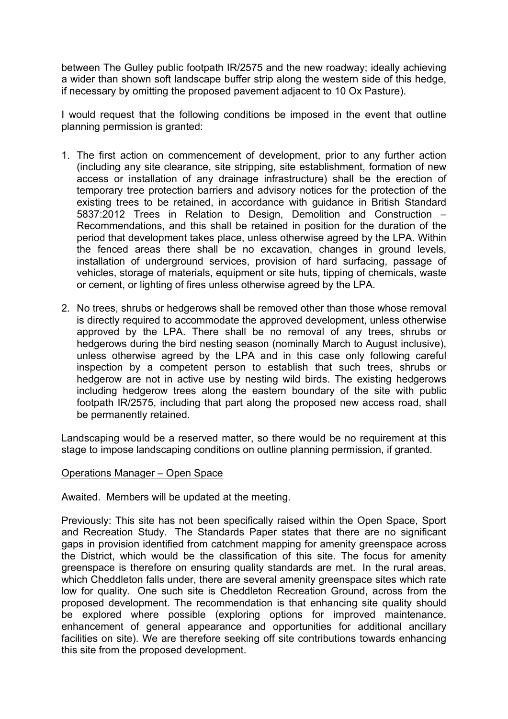between The Gulley public footpath IR/2575 and the new roadway; ideally achieving a wider than shown soft landscape buffer strip along the western side of this hedge, if necessary by omitting the proposed pavement adjacent to 10 Ox Pasture).

I would request that the following conditions be imposed in the event that outline planning permission is granted:

- 1. The first action on commencement of development, prior to any further action (including any site clearance, site stripping, site establishment, formation of new access or installation of any drainage infrastructure) shall be the erection of temporary tree protection barriers and advisory notices for the protection of the existing trees to be retained, in accordance with guidance in British Standard 5837:2012 Trees in Relation to Design, Demolition and Construction – Recommendations, and this shall be retained in position for the duration of the period that development takes place, unless otherwise agreed by the LPA. Within the fenced areas there shall be no excavation, changes in ground levels, installation of underground services, provision of hard surfacing, passage of vehicles, storage of materials, equipment or site huts, tipping of chemicals, waste or cement, or lighting of fires unless otherwise agreed by the LPA.
- 2. No trees, shrubs or hedgerows shall be removed other than those whose removal is directly required to accommodate the approved development, unless otherwise approved by the LPA. There shall be no removal of any trees, shrubs or hedgerows during the bird nesting season (nominally March to August inclusive), unless otherwise agreed by the LPA and in this case only following careful inspection by a competent person to establish that such trees, shrubs or hedgerow are not in active use by nesting wild birds. The existing hedgerows including hedgerow trees along the eastern boundary of the site with public footpath IR/2575, including that part along the proposed new access road, shall be permanently retained.

Landscaping would be a reserved matter, so there would be no requirement at this stage to impose landscaping conditions on outline planning permission, if granted.

#### Operations Manager – Open Space

Awaited. Members will be updated at the meeting.

Previously: This site has not been specifically raised within the Open Space, Sport and Recreation Study. The Standards Paper states that there are no significant gaps in provision identified from catchment mapping for amenity greenspace across the District, which would be the classification of this site. The focus for amenity greenspace is therefore on ensuring quality standards are met. In the rural areas, which Cheddleton falls under, there are several amenity greenspace sites which rate low for quality. One such site is Cheddleton Recreation Ground, across from the proposed development. The recommendation is that enhancing site quality should be explored where possible (exploring options for improved maintenance, enhancement of general appearance and opportunities for additional ancillary facilities on site). We are therefore seeking off site contributions towards enhancing this site from the proposed development.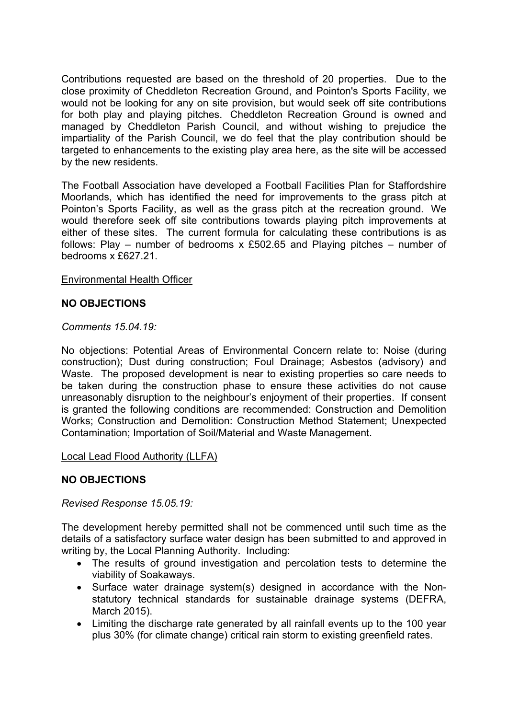Contributions requested are based on the threshold of 20 properties. Due to the close proximity of Cheddleton Recreation Ground, and Pointon's Sports Facility, we would not be looking for any on site provision, but would seek off site contributions for both play and playing pitches. Cheddleton Recreation Ground is owned and managed by Cheddleton Parish Council, and without wishing to prejudice the impartiality of the Parish Council, we do feel that the play contribution should be targeted to enhancements to the existing play area here, as the site will be accessed by the new residents.

The Football Association have developed a Football Facilities Plan for Staffordshire Moorlands, which has identified the need for improvements to the grass pitch at Pointon's Sports Facility, as well as the grass pitch at the recreation ground. We would therefore seek off site contributions towards playing pitch improvements at either of these sites. The current formula for calculating these contributions is as follows: Play – number of bedrooms  $x \text{ £502.65}$  and Playing pitches – number of bedrooms x £627.21.

## Environmental Health Officer

## **NO OBJECTIONS**

*Comments 15.04.19:*

No objections: Potential Areas of Environmental Concern relate to: Noise (during construction); Dust during construction; Foul Drainage; Asbestos (advisory) and Waste. The proposed development is near to existing properties so care needs to be taken during the construction phase to ensure these activities do not cause unreasonably disruption to the neighbour's enjoyment of their properties. If consent is granted the following conditions are recommended: Construction and Demolition Works; Construction and Demolition: Construction Method Statement; Unexpected Contamination; Importation of Soil/Material and Waste Management.

Local Lead Flood Authority (LLFA)

## **NO OBJECTIONS**

*Revised Response 15.05.19:*

The development hereby permitted shall not be commenced until such time as the details of a satisfactory surface water design has been submitted to and approved in writing by, the Local Planning Authority. Including:

- The results of ground investigation and percolation tests to determine the viability of Soakaways.
- Surface water drainage system(s) designed in accordance with the Nonstatutory technical standards for sustainable drainage systems (DEFRA, March 2015).
- Limiting the discharge rate generated by all rainfall events up to the 100 year plus 30% (for climate change) critical rain storm to existing greenfield rates.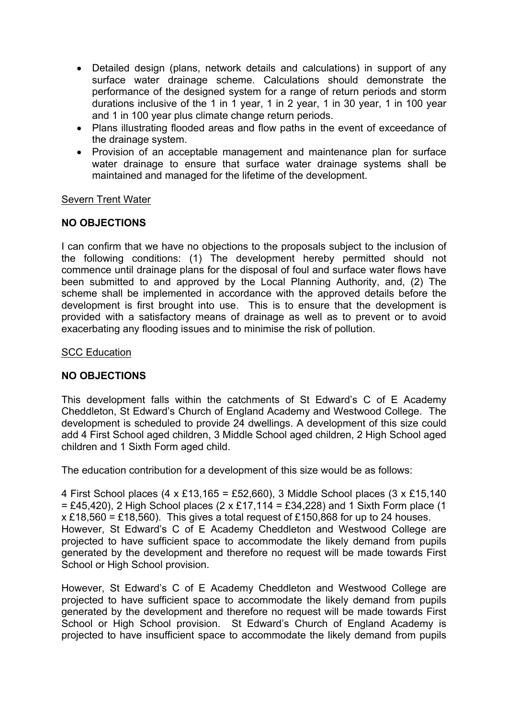- Detailed design (plans, network details and calculations) in support of any surface water drainage scheme. Calculations should demonstrate the performance of the designed system for a range of return periods and storm durations inclusive of the 1 in 1 year, 1 in 2 year, 1 in 30 year, 1 in 100 year and 1 in 100 year plus climate change return periods.
- Plans illustrating flooded areas and flow paths in the event of exceedance of the drainage system.
- Provision of an acceptable management and maintenance plan for surface water drainage to ensure that surface water drainage systems shall be maintained and managed for the lifetime of the development.

## Severn Trent Water

## **NO OBJECTIONS**

I can confirm that we have no objections to the proposals subject to the inclusion of the following conditions: (1) The development hereby permitted should not commence until drainage plans for the disposal of foul and surface water flows have been submitted to and approved by the Local Planning Authority, and, (2) The scheme shall be implemented in accordance with the approved details before the development is first brought into use. This is to ensure that the development is provided with a satisfactory means of drainage as well as to prevent or to avoid exacerbating any flooding issues and to minimise the risk of pollution.

#### SCC Education

## **NO OBJECTIONS**

This development falls within the catchments of St Edward's C of E Academy Cheddleton, St Edward's Church of England Academy and Westwood College. The development is scheduled to provide 24 dwellings. A development of this size could add 4 First School aged children, 3 Middle School aged children, 2 High School aged children and 1 Sixth Form aged child.

The education contribution for a development of this size would be as follows:

4 First School places  $(4 \times \text{\textsterling}13,165 = \text{\textsterling}52,660)$ , 3 Middle School places  $(3 \times \text{\textsterling}15,140)$  $= \pounds 45,420$ ), 2 High School places (2 x £17,114 = £34,228) and 1 Sixth Form place (1  $x \pounds 18,560 = \pounds 18,560$ . This gives a total request of £150,868 for up to 24 houses. However, St Edward's C of E Academy Cheddleton and Westwood College are projected to have sufficient space to accommodate the likely demand from pupils generated by the development and therefore no request will be made towards First School or High School provision.

However, St Edward's C of E Academy Cheddleton and Westwood College are projected to have sufficient space to accommodate the likely demand from pupils generated by the development and therefore no request will be made towards First School or High School provision. St Edward's Church of England Academy is projected to have insufficient space to accommodate the likely demand from pupils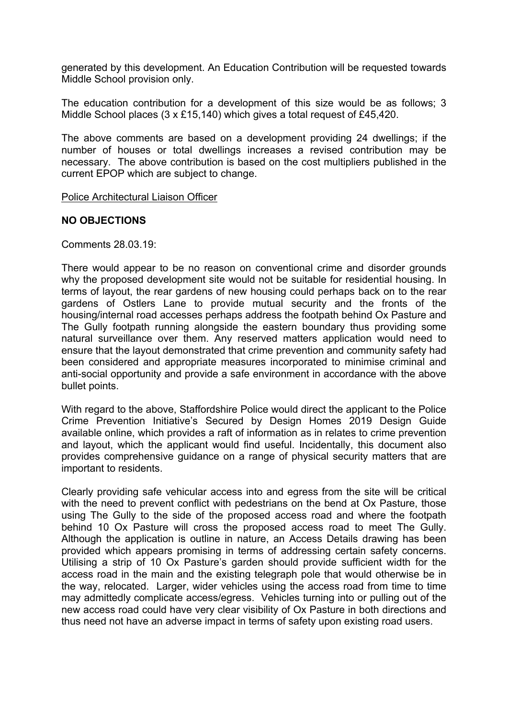generated by this development. An Education Contribution will be requested towards Middle School provision only.

The education contribution for a development of this size would be as follows; 3 Middle School places (3 x £15,140) which gives a total request of £45,420.

The above comments are based on a development providing 24 dwellings; if the number of houses or total dwellings increases a revised contribution may be necessary. The above contribution is based on the cost multipliers published in the current EPOP which are subject to change.

Police Architectural Liaison Officer

## **NO OBJECTIONS**

Comments 28.03.19:

There would appear to be no reason on conventional crime and disorder grounds why the proposed development site would not be suitable for residential housing. In terms of layout, the rear gardens of new housing could perhaps back on to the rear gardens of Ostlers Lane to provide mutual security and the fronts of the housing/internal road accesses perhaps address the footpath behind Ox Pasture and The Gully footpath running alongside the eastern boundary thus providing some natural surveillance over them. Any reserved matters application would need to ensure that the layout demonstrated that crime prevention and community safety had been considered and appropriate measures incorporated to minimise criminal and anti-social opportunity and provide a safe environment in accordance with the above bullet points.

With regard to the above, Staffordshire Police would direct the applicant to the Police Crime Prevention Initiative's Secured by Design Homes 2019 Design Guide available online, which provides a raft of information as in relates to crime prevention and layout, which the applicant would find useful. Incidentally, this document also provides comprehensive guidance on a range of physical security matters that are important to residents.

Clearly providing safe vehicular access into and egress from the site will be critical with the need to prevent conflict with pedestrians on the bend at Ox Pasture, those using The Gully to the side of the proposed access road and where the footpath behind 10 Ox Pasture will cross the proposed access road to meet The Gully. Although the application is outline in nature, an Access Details drawing has been provided which appears promising in terms of addressing certain safety concerns. Utilising a strip of 10 Ox Pasture's garden should provide sufficient width for the access road in the main and the existing telegraph pole that would otherwise be in the way, relocated. Larger, wider vehicles using the access road from time to time may admittedly complicate access/egress. Vehicles turning into or pulling out of the new access road could have very clear visibility of Ox Pasture in both directions and thus need not have an adverse impact in terms of safety upon existing road users.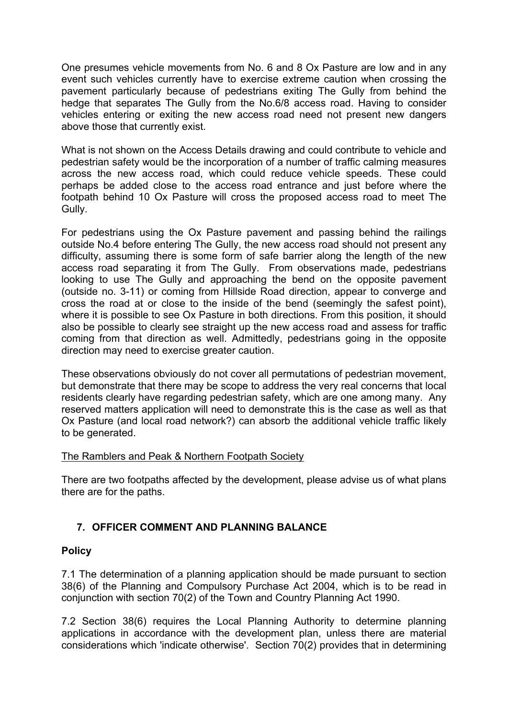One presumes vehicle movements from No. 6 and 8 Ox Pasture are low and in any event such vehicles currently have to exercise extreme caution when crossing the pavement particularly because of pedestrians exiting The Gully from behind the hedge that separates The Gully from the No.6/8 access road. Having to consider vehicles entering or exiting the new access road need not present new dangers above those that currently exist.

What is not shown on the Access Details drawing and could contribute to vehicle and pedestrian safety would be the incorporation of a number of traffic calming measures across the new access road, which could reduce vehicle speeds. These could perhaps be added close to the access road entrance and just before where the footpath behind 10 Ox Pasture will cross the proposed access road to meet The Gully.

For pedestrians using the Ox Pasture pavement and passing behind the railings outside No.4 before entering The Gully, the new access road should not present any difficulty, assuming there is some form of safe barrier along the length of the new access road separating it from The Gully. From observations made, pedestrians looking to use The Gully and approaching the bend on the opposite pavement (outside no. 3-11) or coming from Hillside Road direction, appear to converge and cross the road at or close to the inside of the bend (seemingly the safest point), where it is possible to see Ox Pasture in both directions. From this position, it should also be possible to clearly see straight up the new access road and assess for traffic coming from that direction as well. Admittedly, pedestrians going in the opposite direction may need to exercise greater caution.

These observations obviously do not cover all permutations of pedestrian movement, but demonstrate that there may be scope to address the very real concerns that local residents clearly have regarding pedestrian safety, which are one among many. Any reserved matters application will need to demonstrate this is the case as well as that Ox Pasture (and local road network?) can absorb the additional vehicle traffic likely to be generated.

# The Ramblers and Peak & Northern Footpath Society

There are two footpaths affected by the development, please advise us of what plans there are for the paths.

# **7. OFFICER COMMENT AND PLANNING BALANCE**

# **Policy**

7.1 The determination of a planning application should be made pursuant to section 38(6) of the Planning and Compulsory Purchase Act 2004, which is to be read in conjunction with section 70(2) of the Town and Country Planning Act 1990.

7.2 Section 38(6) requires the Local Planning Authority to determine planning applications in accordance with the development plan, unless there are material considerations which 'indicate otherwise'. Section 70(2) provides that in determining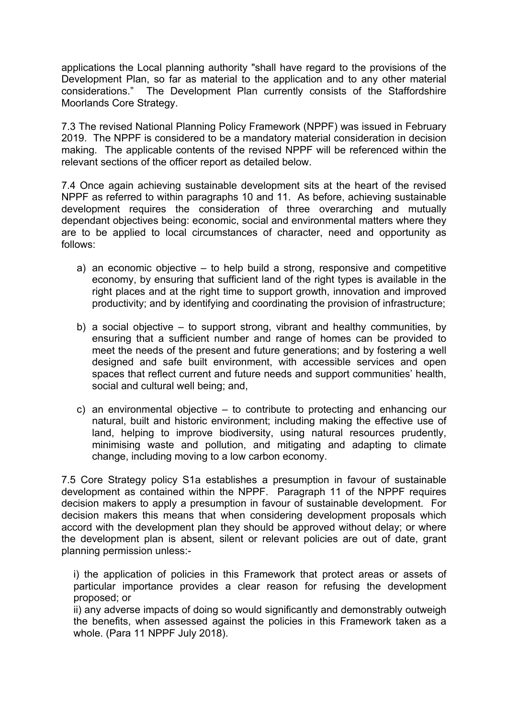applications the Local planning authority "shall have regard to the provisions of the Development Plan, so far as material to the application and to any other material considerations." The Development Plan currently consists of the Staffordshire Moorlands Core Strategy.

7.3 The revised National Planning Policy Framework (NPPF) was issued in February 2019. The NPPF is considered to be a mandatory material consideration in decision making. The applicable contents of the revised NPPF will be referenced within the relevant sections of the officer report as detailed below.

7.4 Once again achieving sustainable development sits at the heart of the revised NPPF as referred to within paragraphs 10 and 11. As before, achieving sustainable development requires the consideration of three overarching and mutually dependant objectives being: economic, social and environmental matters where they are to be applied to local circumstances of character, need and opportunity as follows:

- a) an economic objective  $-$  to help build a strong, responsive and competitive economy, by ensuring that sufficient land of the right types is available in the right places and at the right time to support growth, innovation and improved productivity; and by identifying and coordinating the provision of infrastructure;
- b) a social objective to support strong, vibrant and healthy communities, by ensuring that a sufficient number and range of homes can be provided to meet the needs of the present and future generations; and by fostering a well designed and safe built environment, with accessible services and open spaces that reflect current and future needs and support communities' health, social and cultural well being; and,
- c) an environmental objective to contribute to protecting and enhancing our natural, built and historic environment; including making the effective use of land, helping to improve biodiversity, using natural resources prudently, minimising waste and pollution, and mitigating and adapting to climate change, including moving to a low carbon economy.

7.5 Core Strategy policy S1a establishes a presumption in favour of sustainable development as contained within the NPPF. Paragraph 11 of the NPPF requires decision makers to apply a presumption in favour of sustainable development. For decision makers this means that when considering development proposals which accord with the development plan they should be approved without delay; or where the development plan is absent, silent or relevant policies are out of date, grant planning permission unless:-

i) the application of policies in this Framework that protect areas or assets of particular importance provides a clear reason for refusing the development proposed; or

ii) any adverse impacts of doing so would significantly and demonstrably outweigh the benefits, when assessed against the policies in this Framework taken as a whole. (Para 11 NPPF July 2018).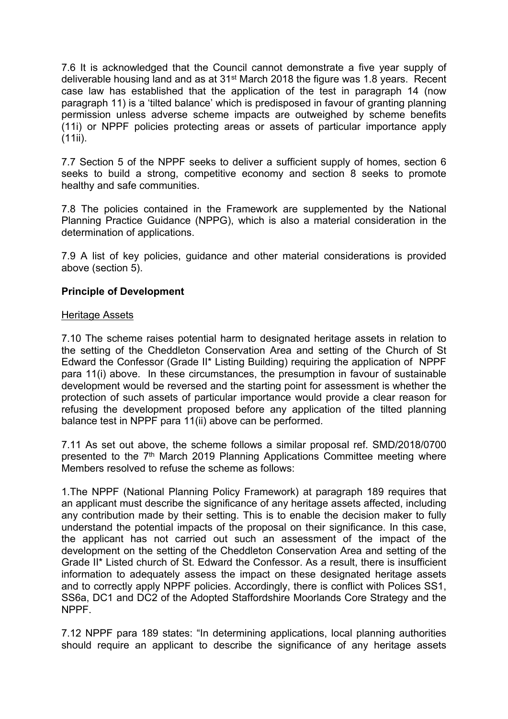7.6 It is acknowledged that the Council cannot demonstrate a five year supply of deliverable housing land and as at 31st March 2018 the figure was 1.8 years. Recent case law has established that the application of the test in paragraph 14 (now paragraph 11) is a 'tilted balance' which is predisposed in favour of granting planning permission unless adverse scheme impacts are outweighed by scheme benefits (11i) or NPPF policies protecting areas or assets of particular importance apply  $(11ii)$ .

7.7 Section 5 of the NPPF seeks to deliver a sufficient supply of homes, section 6 seeks to build a strong, competitive economy and section 8 seeks to promote healthy and safe communities.

7.8 The policies contained in the Framework are supplemented by the National Planning Practice Guidance (NPPG), which is also a material consideration in the determination of applications.

7.9 A list of key policies, guidance and other material considerations is provided above (section 5).

## **Principle of Development**

## Heritage Assets

7.10 The scheme raises potential harm to designated heritage assets in relation to the setting of the Cheddleton Conservation Area and setting of the Church of St Edward the Confessor (Grade II\* Listing Building) requiring the application of NPPF para 11(i) above. In these circumstances, the presumption in favour of sustainable development would be reversed and the starting point for assessment is whether the protection of such assets of particular importance would provide a clear reason for refusing the development proposed before any application of the tilted planning balance test in NPPF para 11(ii) above can be performed.

7.11 As set out above, the scheme follows a similar proposal ref. SMD/2018/0700 presented to the 7<sup>th</sup> March 2019 Planning Applications Committee meeting where Members resolved to refuse the scheme as follows:

1.The NPPF (National Planning Policy Framework) at paragraph 189 requires that an applicant must describe the significance of any heritage assets affected, including any contribution made by their setting. This is to enable the decision maker to fully understand the potential impacts of the proposal on their significance. In this case, the applicant has not carried out such an assessment of the impact of the development on the setting of the Cheddleton Conservation Area and setting of the Grade II\* Listed church of St. Edward the Confessor. As a result, there is insufficient information to adequately assess the impact on these designated heritage assets and to correctly apply NPPF policies. Accordingly, there is conflict with Polices SS1, SS6a, DC1 and DC2 of the Adopted Staffordshire Moorlands Core Strategy and the NPPF.

7.12 NPPF para 189 states: "In determining applications, local planning authorities should require an applicant to describe the significance of any heritage assets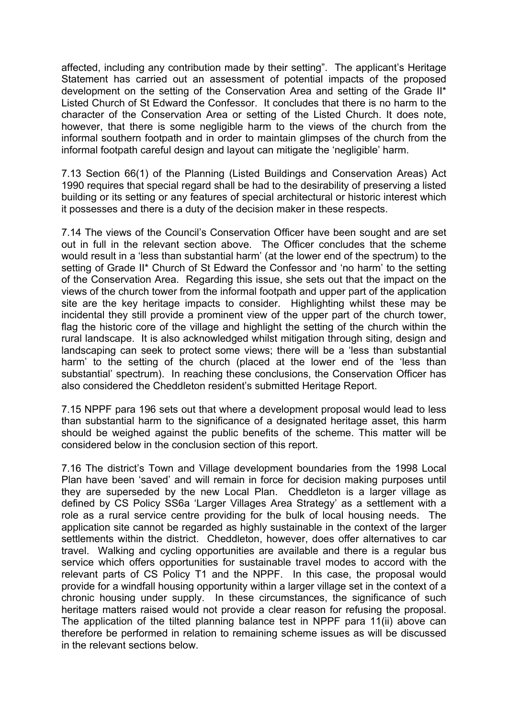affected, including any contribution made by their setting". The applicant's Heritage Statement has carried out an assessment of potential impacts of the proposed development on the setting of the Conservation Area and setting of the Grade II\* Listed Church of St Edward the Confessor. It concludes that there is no harm to the character of the Conservation Area or setting of the Listed Church. It does note, however, that there is some negligible harm to the views of the church from the informal southern footpath and in order to maintain glimpses of the church from the informal footpath careful design and layout can mitigate the 'negligible' harm.

7.13 Section 66(1) of the Planning (Listed Buildings and Conservation Areas) Act 1990 requires that special regard shall be had to the desirability of preserving a listed building or its setting or any features of special architectural or historic interest which it possesses and there is a duty of the decision maker in these respects.

7.14 The views of the Council's Conservation Officer have been sought and are set out in full in the relevant section above. The Officer concludes that the scheme would result in a 'less than substantial harm' (at the lower end of the spectrum) to the setting of Grade II\* Church of St Edward the Confessor and 'no harm' to the setting of the Conservation Area. Regarding this issue, she sets out that the impact on the views of the church tower from the informal footpath and upper part of the application site are the key heritage impacts to consider. Highlighting whilst these may be incidental they still provide a prominent view of the upper part of the church tower, flag the historic core of the village and highlight the setting of the church within the rural landscape. It is also acknowledged whilst mitigation through siting, design and landscaping can seek to protect some views; there will be a 'less than substantial harm' to the setting of the church (placed at the lower end of the 'less than substantial' spectrum). In reaching these conclusions, the Conservation Officer has also considered the Cheddleton resident's submitted Heritage Report.

7.15 NPPF para 196 sets out that where a development proposal would lead to less than substantial harm to the significance of a designated heritage asset, this harm should be weighed against the public benefits of the scheme. This matter will be considered below in the conclusion section of this report.

7.16 The district's Town and Village development boundaries from the 1998 Local Plan have been 'saved' and will remain in force for decision making purposes until they are superseded by the new Local Plan. Cheddleton is a larger village as defined by CS Policy SS6a 'Larger Villages Area Strategy' as a settlement with a role as a rural service centre providing for the bulk of local housing needs. The application site cannot be regarded as highly sustainable in the context of the larger settlements within the district. Cheddleton, however, does offer alternatives to car travel. Walking and cycling opportunities are available and there is a regular bus service which offers opportunities for sustainable travel modes to accord with the relevant parts of CS Policy T1 and the NPPF. In this case, the proposal would provide for a windfall housing opportunity within a larger village set in the context of a chronic housing under supply. In these circumstances, the significance of such heritage matters raised would not provide a clear reason for refusing the proposal. The application of the tilted planning balance test in NPPF para 11(ii) above can therefore be performed in relation to remaining scheme issues as will be discussed in the relevant sections below.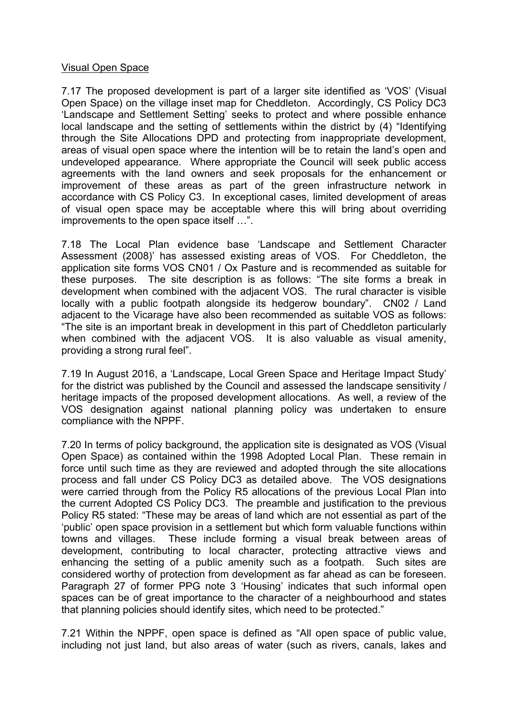#### Visual Open Space

7.17 The proposed development is part of a larger site identified as 'VOS' (Visual Open Space) on the village inset map for Cheddleton. Accordingly, CS Policy DC3 'Landscape and Settlement Setting' seeks to protect and where possible enhance local landscape and the setting of settlements within the district by (4) "Identifying through the Site Allocations DPD and protecting from inappropriate development, areas of visual open space where the intention will be to retain the land's open and undeveloped appearance. Where appropriate the Council will seek public access agreements with the land owners and seek proposals for the enhancement or improvement of these areas as part of the green infrastructure network in accordance with CS Policy C3. In exceptional cases, limited development of areas of visual open space may be acceptable where this will bring about overriding improvements to the open space itself …".

7.18 The Local Plan evidence base 'Landscape and Settlement Character Assessment (2008)' has assessed existing areas of VOS. For Cheddleton, the application site forms VOS CN01 / Ox Pasture and is recommended as suitable for these purposes. The site description is as follows: "The site forms a break in development when combined with the adjacent VOS. The rural character is visible locally with a public footpath alongside its hedgerow boundary". CN02 / Land adjacent to the Vicarage have also been recommended as suitable VOS as follows: "The site is an important break in development in this part of Cheddleton particularly when combined with the adjacent VOS. It is also valuable as visual amenity, providing a strong rural feel".

7.19 In August 2016, a 'Landscape, Local Green Space and Heritage Impact Study' for the district was published by the Council and assessed the landscape sensitivity / heritage impacts of the proposed development allocations. As well, a review of the VOS designation against national planning policy was undertaken to ensure compliance with the NPPF.

7.20 In terms of policy background, the application site is designated as VOS (Visual Open Space) as contained within the 1998 Adopted Local Plan. These remain in force until such time as they are reviewed and adopted through the site allocations process and fall under CS Policy DC3 as detailed above. The VOS designations were carried through from the Policy R5 allocations of the previous Local Plan into the current Adopted CS Policy DC3. The preamble and justification to the previous Policy R5 stated: "These may be areas of land which are not essential as part of the 'public' open space provision in a settlement but which form valuable functions within towns and villages. These include forming a visual break between areas of development, contributing to local character, protecting attractive views and enhancing the setting of a public amenity such as a footpath. Such sites are considered worthy of protection from development as far ahead as can be foreseen. Paragraph 27 of former PPG note 3 'Housing' indicates that such informal open spaces can be of great importance to the character of a neighbourhood and states that planning policies should identify sites, which need to be protected."

7.21 Within the NPPF, open space is defined as "All open space of public value, including not just land, but also areas of water (such as rivers, canals, lakes and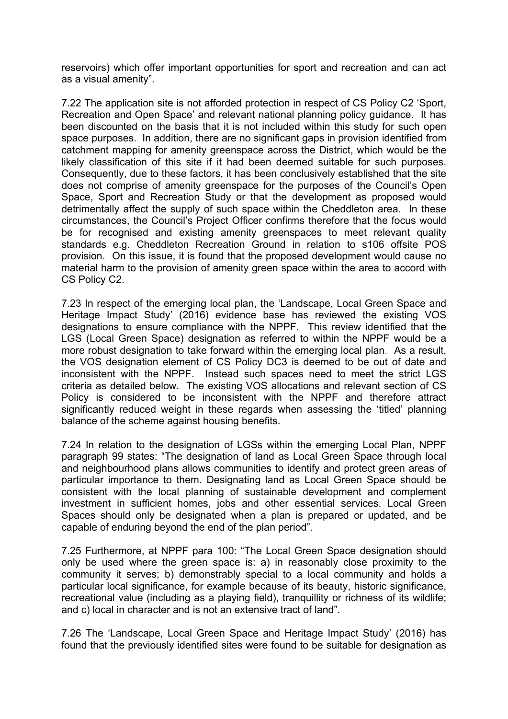reservoirs) which offer important opportunities for sport and recreation and can act as a visual amenity".

7.22 The application site is not afforded protection in respect of CS Policy C2 'Sport, Recreation and Open Space' and relevant national planning policy guidance. It has been discounted on the basis that it is not included within this study for such open space purposes. In addition, there are no significant gaps in provision identified from catchment mapping for amenity greenspace across the District, which would be the likely classification of this site if it had been deemed suitable for such purposes. Consequently, due to these factors, it has been conclusively established that the site does not comprise of amenity greenspace for the purposes of the Council's Open Space, Sport and Recreation Study or that the development as proposed would detrimentally affect the supply of such space within the Cheddleton area. In these circumstances, the Council's Project Officer confirms therefore that the focus would be for recognised and existing amenity greenspaces to meet relevant quality standards e.g. Cheddleton Recreation Ground in relation to s106 offsite POS provision. On this issue, it is found that the proposed development would cause no material harm to the provision of amenity green space within the area to accord with CS Policy C2.

7.23 In respect of the emerging local plan, the 'Landscape, Local Green Space and Heritage Impact Study' (2016) evidence base has reviewed the existing VOS designations to ensure compliance with the NPPF. This review identified that the LGS (Local Green Space) designation as referred to within the NPPF would be a more robust designation to take forward within the emerging local plan. As a result, the VOS designation element of CS Policy DC3 is deemed to be out of date and inconsistent with the NPPF. Instead such spaces need to meet the strict LGS criteria as detailed below. The existing VOS allocations and relevant section of CS Policy is considered to be inconsistent with the NPPF and therefore attract significantly reduced weight in these regards when assessing the 'titled' planning balance of the scheme against housing benefits.

7.24 In relation to the designation of LGSs within the emerging Local Plan, NPPF paragraph 99 states: "The designation of land as Local Green Space through local and neighbourhood plans allows communities to identify and protect green areas of particular importance to them. Designating land as Local Green Space should be consistent with the local planning of sustainable development and complement investment in sufficient homes, jobs and other essential services. Local Green Spaces should only be designated when a plan is prepared or updated, and be capable of enduring beyond the end of the plan period".

7.25 Furthermore, at NPPF para 100: "The Local Green Space designation should only be used where the green space is: a) in reasonably close proximity to the community it serves; b) demonstrably special to a local community and holds a particular local significance, for example because of its beauty, historic significance, recreational value (including as a playing field), tranquillity or richness of its wildlife; and c) local in character and is not an extensive tract of land".

7.26 The 'Landscape, Local Green Space and Heritage Impact Study' (2016) has found that the previously identified sites were found to be suitable for designation as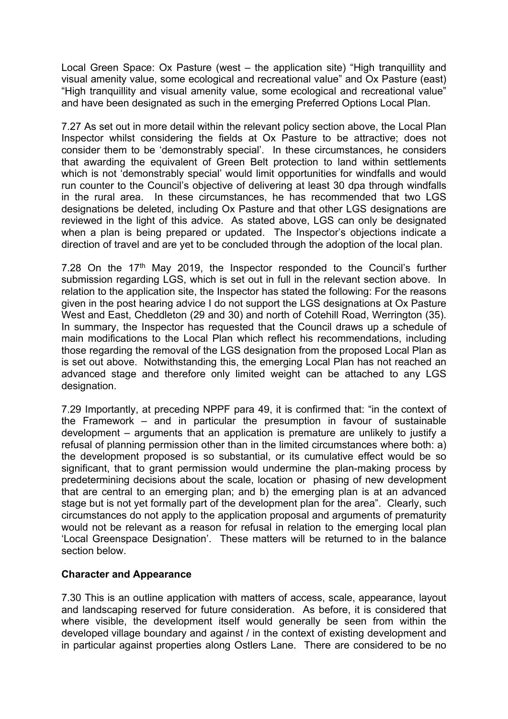Local Green Space: Ox Pasture (west – the application site) "High tranquillity and visual amenity value, some ecological and recreational value" and Ox Pasture (east) "High tranquillity and visual amenity value, some ecological and recreational value" and have been designated as such in the emerging Preferred Options Local Plan.

7.27 As set out in more detail within the relevant policy section above, the Local Plan Inspector whilst considering the fields at Ox Pasture to be attractive; does not consider them to be 'demonstrably special'. In these circumstances, he considers that awarding the equivalent of Green Belt protection to land within settlements which is not 'demonstrably special' would limit opportunities for windfalls and would run counter to the Council's objective of delivering at least 30 dpa through windfalls in the rural area. In these circumstances, he has recommended that two LGS designations be deleted, including Ox Pasture and that other LGS designations are reviewed in the light of this advice. As stated above, LGS can only be designated when a plan is being prepared or updated. The Inspector's objections indicate a direction of travel and are yet to be concluded through the adoption of the local plan.

7.28 On the 17<sup>th</sup> May 2019, the Inspector responded to the Council's further submission regarding LGS, which is set out in full in the relevant section above. In relation to the application site, the Inspector has stated the following: For the reasons given in the post hearing advice I do not support the LGS designations at Ox Pasture West and East, Cheddleton (29 and 30) and north of Cotehill Road, Werrington (35). In summary, the Inspector has requested that the Council draws up a schedule of main modifications to the Local Plan which reflect his recommendations, including those regarding the removal of the LGS designation from the proposed Local Plan as is set out above. Notwithstanding this, the emerging Local Plan has not reached an advanced stage and therefore only limited weight can be attached to any LGS designation.

7.29 Importantly, at preceding NPPF para 49, it is confirmed that: "in the context of the Framework – and in particular the presumption in favour of sustainable development – arguments that an application is premature are unlikely to justify a refusal of planning permission other than in the limited circumstances where both: a) the development proposed is so substantial, or its cumulative effect would be so significant, that to grant permission would undermine the plan-making process by predetermining decisions about the scale, location or phasing of new development that are central to an emerging plan; and b) the emerging plan is at an advanced stage but is not yet formally part of the development plan for the area". Clearly, such circumstances do not apply to the application proposal and arguments of prematurity would not be relevant as a reason for refusal in relation to the emerging local plan 'Local Greenspace Designation'. These matters will be returned to in the balance section below.

## **Character and Appearance**

7.30 This is an outline application with matters of access, scale, appearance, layout and landscaping reserved for future consideration. As before, it is considered that where visible, the development itself would generally be seen from within the developed village boundary and against / in the context of existing development and in particular against properties along Ostlers Lane. There are considered to be no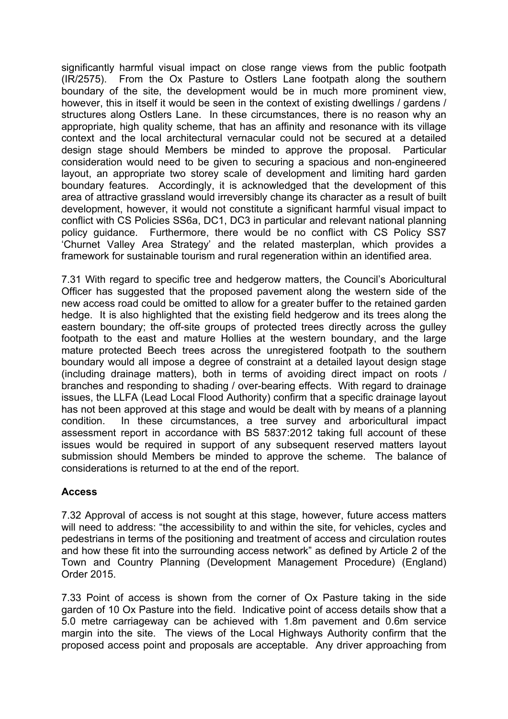significantly harmful visual impact on close range views from the public footpath (IR/2575). From the Ox Pasture to Ostlers Lane footpath along the southern boundary of the site, the development would be in much more prominent view, however, this in itself it would be seen in the context of existing dwellings / gardens / structures along Ostlers Lane. In these circumstances, there is no reason why an appropriate, high quality scheme, that has an affinity and resonance with its village context and the local architectural vernacular could not be secured at a detailed design stage should Members be minded to approve the proposal. Particular consideration would need to be given to securing a spacious and non-engineered layout, an appropriate two storey scale of development and limiting hard garden boundary features. Accordingly, it is acknowledged that the development of this area of attractive grassland would irreversibly change its character as a result of built development, however, it would not constitute a significant harmful visual impact to conflict with CS Policies SS6a, DC1, DC3 in particular and relevant national planning policy guidance. Furthermore, there would be no conflict with CS Policy SS7 'Churnet Valley Area Strategy' and the related masterplan, which provides a framework for sustainable tourism and rural regeneration within an identified area.

7.31 With regard to specific tree and hedgerow matters, the Council's Aboricultural Officer has suggested that the proposed pavement along the western side of the new access road could be omitted to allow for a greater buffer to the retained garden hedge. It is also highlighted that the existing field hedgerow and its trees along the eastern boundary; the off-site groups of protected trees directly across the gulley footpath to the east and mature Hollies at the western boundary, and the large mature protected Beech trees across the unregistered footpath to the southern boundary would all impose a degree of constraint at a detailed layout design stage (including drainage matters), both in terms of avoiding direct impact on roots / branches and responding to shading / over-bearing effects. With regard to drainage issues, the LLFA (Lead Local Flood Authority) confirm that a specific drainage layout has not been approved at this stage and would be dealt with by means of a planning condition. In these circumstances, a tree survey and arboricultural impact assessment report in accordance with BS 5837:2012 taking full account of these issues would be required in support of any subsequent reserved matters layout submission should Members be minded to approve the scheme. The balance of considerations is returned to at the end of the report.

## **Access**

7.32 Approval of access is not sought at this stage, however, future access matters will need to address: "the accessibility to and within the site, for vehicles, cycles and pedestrians in terms of the positioning and treatment of access and circulation routes and how these fit into the surrounding access network" as defined by Article 2 of the Town and Country Planning (Development Management Procedure) (England) Order 2015.

7.33 Point of access is shown from the corner of Ox Pasture taking in the side garden of 10 Ox Pasture into the field. Indicative point of access details show that a 5.0 metre carriageway can be achieved with 1.8m pavement and 0.6m service margin into the site. The views of the Local Highways Authority confirm that the proposed access point and proposals are acceptable. Any driver approaching from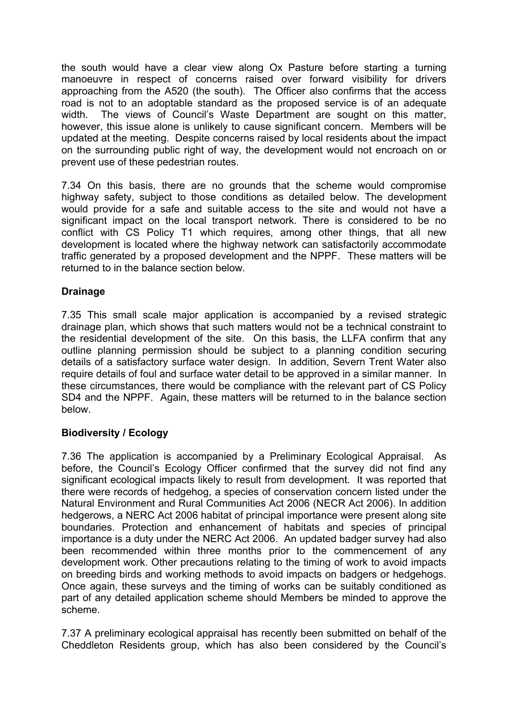the south would have a clear view along Ox Pasture before starting a turning manoeuvre in respect of concerns raised over forward visibility for drivers approaching from the A520 (the south). The Officer also confirms that the access road is not to an adoptable standard as the proposed service is of an adequate width. The views of Council's Waste Department are sought on this matter, however, this issue alone is unlikely to cause significant concern. Members will be updated at the meeting. Despite concerns raised by local residents about the impact on the surrounding public right of way, the development would not encroach on or prevent use of these pedestrian routes.

7.34 On this basis, there are no grounds that the scheme would compromise highway safety, subject to those conditions as detailed below. The development would provide for a safe and suitable access to the site and would not have a significant impact on the local transport network. There is considered to be no conflict with CS Policy T1 which requires, among other things, that all new development is located where the highway network can satisfactorily accommodate traffic generated by a proposed development and the NPPF. These matters will be returned to in the balance section below.

## **Drainage**

7.35 This small scale major application is accompanied by a revised strategic drainage plan, which shows that such matters would not be a technical constraint to the residential development of the site. On this basis, the LLFA confirm that any outline planning permission should be subject to a planning condition securing details of a satisfactory surface water design. In addition, Severn Trent Water also require details of foul and surface water detail to be approved in a similar manner. In these circumstances, there would be compliance with the relevant part of CS Policy SD4 and the NPPF. Again, these matters will be returned to in the balance section below.

## **Biodiversity / Ecology**

7.36 The application is accompanied by a Preliminary Ecological Appraisal. As before, the Council's Ecology Officer confirmed that the survey did not find any significant ecological impacts likely to result from development. It was reported that there were records of hedgehog, a species of conservation concern listed under the Natural Environment and Rural Communities Act 2006 (NECR Act 2006). In addition hedgerows, a NERC Act 2006 habitat of principal importance were present along site boundaries. Protection and enhancement of habitats and species of principal importance is a duty under the NERC Act 2006. An updated badger survey had also been recommended within three months prior to the commencement of any development work. Other precautions relating to the timing of work to avoid impacts on breeding birds and working methods to avoid impacts on badgers or hedgehogs. Once again, these surveys and the timing of works can be suitably conditioned as part of any detailed application scheme should Members be minded to approve the scheme.

7.37 A preliminary ecological appraisal has recently been submitted on behalf of the Cheddleton Residents group, which has also been considered by the Council's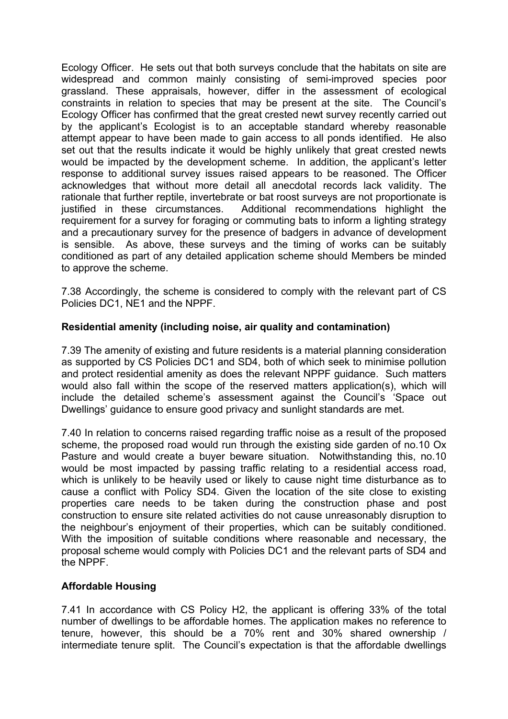Ecology Officer. He sets out that both surveys conclude that the habitats on site are widespread and common mainly consisting of semi-improved species poor grassland. These appraisals, however, differ in the assessment of ecological constraints in relation to species that may be present at the site. The Council's Ecology Officer has confirmed that the great crested newt survey recently carried out by the applicant's Ecologist is to an acceptable standard whereby reasonable attempt appear to have been made to gain access to all ponds identified. He also set out that the results indicate it would be highly unlikely that great crested newts would be impacted by the development scheme. In addition, the applicant's letter response to additional survey issues raised appears to be reasoned. The Officer acknowledges that without more detail all anecdotal records lack validity. The rationale that further reptile, invertebrate or bat roost surveys are not proportionate is justified in these circumstances. Additional recommendations highlight the requirement for a survey for foraging or commuting bats to inform a lighting strategy and a precautionary survey for the presence of badgers in advance of development is sensible. As above, these surveys and the timing of works can be suitably conditioned as part of any detailed application scheme should Members be minded to approve the scheme.

7.38 Accordingly, the scheme is considered to comply with the relevant part of CS Policies DC1, NE1 and the NPPF.

# **Residential amenity (including noise, air quality and contamination)**

7.39 The amenity of existing and future residents is a material planning consideration as supported by CS Policies DC1 and SD4, both of which seek to minimise pollution and protect residential amenity as does the relevant NPPF guidance. Such matters would also fall within the scope of the reserved matters application(s), which will include the detailed scheme's assessment against the Council's 'Space out Dwellings' guidance to ensure good privacy and sunlight standards are met.

7.40 In relation to concerns raised regarding traffic noise as a result of the proposed scheme, the proposed road would run through the existing side garden of no.10 Ox Pasture and would create a buyer beware situation. Notwithstanding this, no.10 would be most impacted by passing traffic relating to a residential access road, which is unlikely to be heavily used or likely to cause night time disturbance as to cause a conflict with Policy SD4. Given the location of the site close to existing properties care needs to be taken during the construction phase and post construction to ensure site related activities do not cause unreasonably disruption to the neighbour's enjoyment of their properties, which can be suitably conditioned. With the imposition of suitable conditions where reasonable and necessary, the proposal scheme would comply with Policies DC1 and the relevant parts of SD4 and the NPPF.

## **Affordable Housing**

7.41 In accordance with CS Policy H2, the applicant is offering 33% of the total number of dwellings to be affordable homes. The application makes no reference to tenure, however, this should be a 70% rent and 30% shared ownership / intermediate tenure split. The Council's expectation is that the affordable dwellings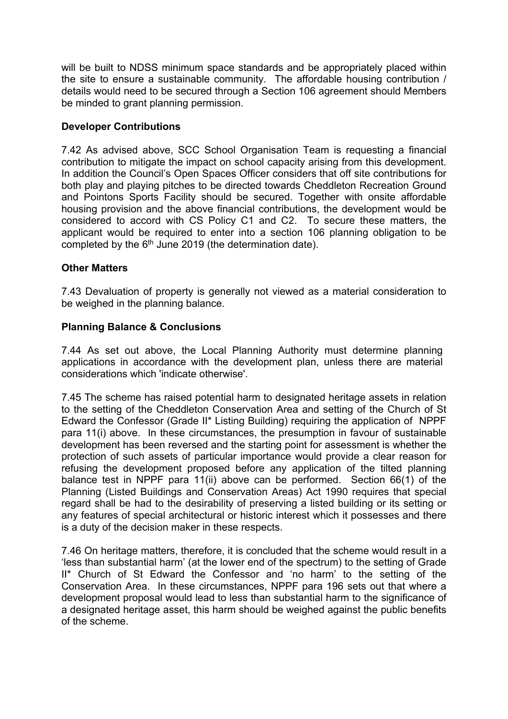will be built to NDSS minimum space standards and be appropriately placed within the site to ensure a sustainable community. The affordable housing contribution / details would need to be secured through a Section 106 agreement should Members be minded to grant planning permission.

## **Developer Contributions**

7.42 As advised above, SCC School Organisation Team is requesting a financial contribution to mitigate the impact on school capacity arising from this development. In addition the Council's Open Spaces Officer considers that off site contributions for both play and playing pitches to be directed towards Cheddleton Recreation Ground and Pointons Sports Facility should be secured. Together with onsite affordable housing provision and the above financial contributions, the development would be considered to accord with CS Policy C1 and C2. To secure these matters, the applicant would be required to enter into a section 106 planning obligation to be completed by the 6<sup>th</sup> June 2019 (the determination date).

## **Other Matters**

7.43 Devaluation of property is generally not viewed as a material consideration to be weighed in the planning balance.

## **Planning Balance & Conclusions**

7.44 As set out above, the Local Planning Authority must determine planning applications in accordance with the development plan, unless there are material considerations which 'indicate otherwise'.

7.45 The scheme has raised potential harm to designated heritage assets in relation to the setting of the Cheddleton Conservation Area and setting of the Church of St Edward the Confessor (Grade II\* Listing Building) requiring the application of NPPF para 11(i) above. In these circumstances, the presumption in favour of sustainable development has been reversed and the starting point for assessment is whether the protection of such assets of particular importance would provide a clear reason for refusing the development proposed before any application of the tilted planning balance test in NPPF para 11(ii) above can be performed. Section 66(1) of the Planning (Listed Buildings and Conservation Areas) Act 1990 requires that special regard shall be had to the desirability of preserving a listed building or its setting or any features of special architectural or historic interest which it possesses and there is a duty of the decision maker in these respects.

7.46 On heritage matters, therefore, it is concluded that the scheme would result in a 'less than substantial harm' (at the lower end of the spectrum) to the setting of Grade II\* Church of St Edward the Confessor and 'no harm' to the setting of the Conservation Area. In these circumstances, NPPF para 196 sets out that where a development proposal would lead to less than substantial harm to the significance of a designated heritage asset, this harm should be weighed against the public benefits of the scheme.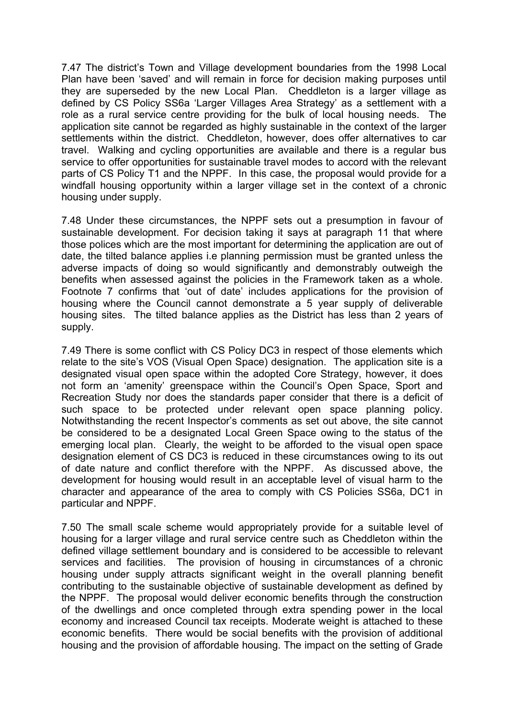7.47 The district's Town and Village development boundaries from the 1998 Local Plan have been 'saved' and will remain in force for decision making purposes until they are superseded by the new Local Plan. Cheddleton is a larger village as defined by CS Policy SS6a 'Larger Villages Area Strategy' as a settlement with a role as a rural service centre providing for the bulk of local housing needs. The application site cannot be regarded as highly sustainable in the context of the larger settlements within the district. Cheddleton, however, does offer alternatives to car travel. Walking and cycling opportunities are available and there is a regular bus service to offer opportunities for sustainable travel modes to accord with the relevant parts of CS Policy T1 and the NPPF. In this case, the proposal would provide for a windfall housing opportunity within a larger village set in the context of a chronic housing under supply.

7.48 Under these circumstances, the NPPF sets out a presumption in favour of sustainable development. For decision taking it says at paragraph 11 that where those polices which are the most important for determining the application are out of date, the tilted balance applies i.e planning permission must be granted unless the adverse impacts of doing so would significantly and demonstrably outweigh the benefits when assessed against the policies in the Framework taken as a whole. Footnote 7 confirms that 'out of date' includes applications for the provision of housing where the Council cannot demonstrate a 5 year supply of deliverable housing sites. The tilted balance applies as the District has less than 2 years of supply.

7.49 There is some conflict with CS Policy DC3 in respect of those elements which relate to the site's VOS (Visual Open Space) designation. The application site is a designated visual open space within the adopted Core Strategy, however, it does not form an 'amenity' greenspace within the Council's Open Space, Sport and Recreation Study nor does the standards paper consider that there is a deficit of such space to be protected under relevant open space planning policy. Notwithstanding the recent Inspector's comments as set out above, the site cannot be considered to be a designated Local Green Space owing to the status of the emerging local plan. Clearly, the weight to be afforded to the visual open space designation element of CS DC3 is reduced in these circumstances owing to its out of date nature and conflict therefore with the NPPF. As discussed above, the development for housing would result in an acceptable level of visual harm to the character and appearance of the area to comply with CS Policies SS6a, DC1 in particular and NPPF.

7.50 The small scale scheme would appropriately provide for a suitable level of housing for a larger village and rural service centre such as Cheddleton within the defined village settlement boundary and is considered to be accessible to relevant services and facilities. The provision of housing in circumstances of a chronic housing under supply attracts significant weight in the overall planning benefit contributing to the sustainable objective of sustainable development as defined by the NPPF. The proposal would deliver economic benefits through the construction of the dwellings and once completed through extra spending power in the local economy and increased Council tax receipts. Moderate weight is attached to these economic benefits. There would be social benefits with the provision of additional housing and the provision of affordable housing. The impact on the setting of Grade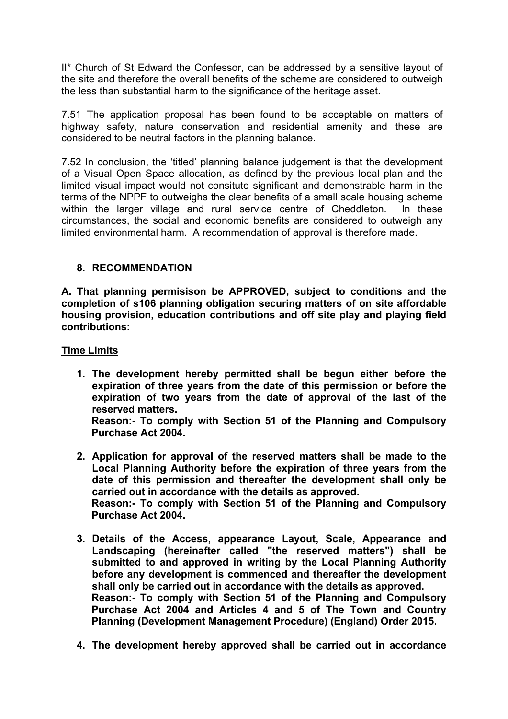II\* Church of St Edward the Confessor, can be addressed by a sensitive layout of the site and therefore the overall benefits of the scheme are considered to outweigh the less than substantial harm to the significance of the heritage asset.

7.51 The application proposal has been found to be acceptable on matters of highway safety, nature conservation and residential amenity and these are considered to be neutral factors in the planning balance.

7.52 In conclusion, the 'titled' planning balance judgement is that the development of a Visual Open Space allocation, as defined by the previous local plan and the limited visual impact would not consitute significant and demonstrable harm in the terms of the NPPF to outweighs the clear benefits of a small scale housing scheme within the larger village and rural service centre of Cheddleton. In these circumstances, the social and economic benefits are considered to outweigh any limited environmental harm. A recommendation of approval is therefore made.

## **8. RECOMMENDATION**

**A. That planning permisison be APPROVED, subject to conditions and the completion of s106 planning obligation securing matters of on site affordable housing provision, education contributions and off site play and playing field contributions:**

#### **Time Limits**

**1. The development hereby permitted shall be begun either before the expiration of three years from the date of this permission or before the expiration of two years from the date of approval of the last of the reserved matters.**

**Reason:- To comply with Section 51 of the Planning and Compulsory Purchase Act 2004.**

- **2. Application for approval of the reserved matters shall be made to the Local Planning Authority before the expiration of three years from the date of this permission and thereafter the development shall only be carried out in accordance with the details as approved. Reason:- To comply with Section 51 of the Planning and Compulsory Purchase Act 2004.**
- **3. Details of the Access, appearance Layout, Scale, Appearance and Landscaping (hereinafter called "the reserved matters") shall be submitted to and approved in writing by the Local Planning Authority before any development is commenced and thereafter the development shall only be carried out in accordance with the details as approved. Reason:- To comply with Section 51 of the Planning and Compulsory Purchase Act 2004 and Articles 4 and 5 of The Town and Country Planning (Development Management Procedure) (England) Order 2015.**
- **4. The development hereby approved shall be carried out in accordance**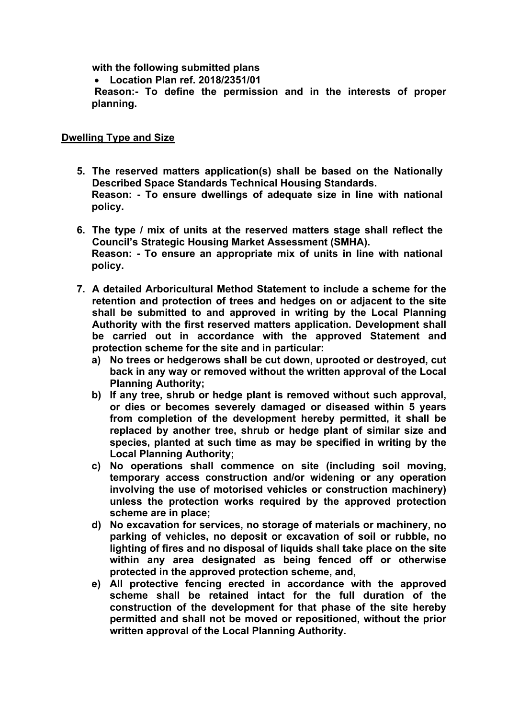**with the following submitted plans**

**Location Plan ref. 2018/2351/01**

**Reason:- To define the permission and in the interests of proper planning.**

## **Dwelling Type and Size**

- **5. The reserved matters application(s) shall be based on the Nationally Described Space Standards Technical Housing Standards. Reason: - To ensure dwellings of adequate size in line with national policy.**
- **6. The type / mix of units at the reserved matters stage shall reflect the Council's Strategic Housing Market Assessment (SMHA). Reason: - To ensure an appropriate mix of units in line with national policy.**
- **7. A detailed Arboricultural Method Statement to include a scheme for the retention and protection of trees and hedges on or adjacent to the site shall be submitted to and approved in writing by the Local Planning Authority with the first reserved matters application. Development shall be carried out in accordance with the approved Statement and protection scheme for the site and in particular:**
	- **a) No trees or hedgerows shall be cut down, uprooted or destroyed, cut back in any way or removed without the written approval of the Local Planning Authority;**
	- **b) If any tree, shrub or hedge plant is removed without such approval, or dies or becomes severely damaged or diseased within 5 years from completion of the development hereby permitted, it shall be replaced by another tree, shrub or hedge plant of similar size and species, planted at such time as may be specified in writing by the Local Planning Authority;**
	- **c) No operations shall commence on site (including soil moving, temporary access construction and/or widening or any operation involving the use of motorised vehicles or construction machinery) unless the protection works required by the approved protection scheme are in place;**
	- **d) No excavation for services, no storage of materials or machinery, no parking of vehicles, no deposit or excavation of soil or rubble, no lighting of fires and no disposal of liquids shall take place on the site within any area designated as being fenced off or otherwise protected in the approved protection scheme, and,**
	- **e) All protective fencing erected in accordance with the approved scheme shall be retained intact for the full duration of the construction of the development for that phase of the site hereby permitted and shall not be moved or repositioned, without the prior written approval of the Local Planning Authority.**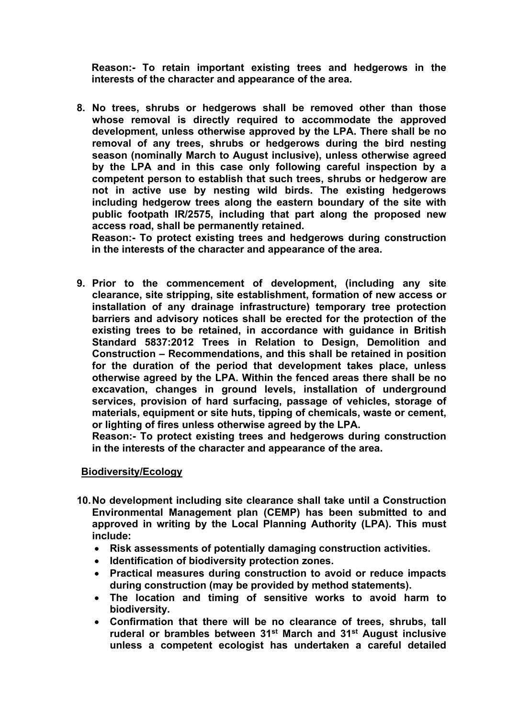**Reason:- To retain important existing trees and hedgerows in the interests of the character and appearance of the area.**

**8. No trees, shrubs or hedgerows shall be removed other than those whose removal is directly required to accommodate the approved development, unless otherwise approved by the LPA. There shall be no removal of any trees, shrubs or hedgerows during the bird nesting season (nominally March to August inclusive), unless otherwise agreed by the LPA and in this case only following careful inspection by a competent person to establish that such trees, shrubs or hedgerow are not in active use by nesting wild birds. The existing hedgerows including hedgerow trees along the eastern boundary of the site with public footpath IR/2575, including that part along the proposed new access road, shall be permanently retained.**

**Reason:- To protect existing trees and hedgerows during construction in the interests of the character and appearance of the area.**

**9. Prior to the commencement of development, (including any site clearance, site stripping, site establishment, formation of new access or installation of any drainage infrastructure) temporary tree protection barriers and advisory notices shall be erected for the protection of the existing trees to be retained, in accordance with guidance in British Standard 5837:2012 Trees in Relation to Design, Demolition and Construction – Recommendations, and this shall be retained in position for the duration of the period that development takes place, unless otherwise agreed by the LPA. Within the fenced areas there shall be no excavation, changes in ground levels, installation of underground services, provision of hard surfacing, passage of vehicles, storage of materials, equipment or site huts, tipping of chemicals, waste or cement, or lighting of fires unless otherwise agreed by the LPA.**

**Reason:- To protect existing trees and hedgerows during construction in the interests of the character and appearance of the area.**

## **Biodiversity/Ecology**

- **10.No development including site clearance shall take until a Construction Environmental Management plan (CEMP) has been submitted to and approved in writing by the Local Planning Authority (LPA). This must include:**
	- **Risk assessments of potentially damaging construction activities.**
	- **Identification of biodiversity protection zones.**
	- **Practical measures during construction to avoid or reduce impacts during construction (may be provided by method statements).**
	- **The location and timing of sensitive works to avoid harm to biodiversity.**
	- **Confirmation that there will be no clearance of trees, shrubs, tall ruderal or brambles between 31st March and 31st August inclusive unless a competent ecologist has undertaken a careful detailed**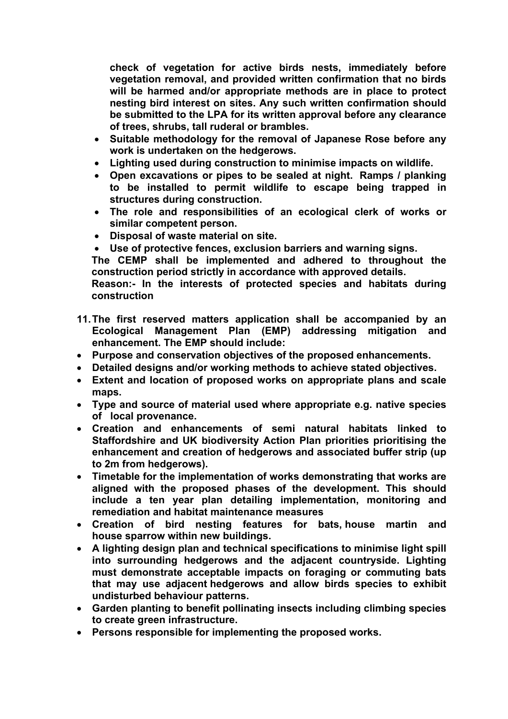**check of vegetation for active birds nests, immediately before vegetation removal, and provided written confirmation that no birds will be harmed and/or appropriate methods are in place to protect nesting bird interest on sites. Any such written confirmation should be submitted to the LPA for its written approval before any clearance of trees, shrubs, tall ruderal or brambles.**

- **Suitable methodology for the removal of Japanese Rose before any work is undertaken on the hedgerows.**
- **Lighting used during construction to minimise impacts on wildlife.**
- **Open excavations or pipes to be sealed at night. Ramps / planking to be installed to permit wildlife to escape being trapped in structures during construction.**
- **The role and responsibilities of an ecological clerk of works or similar competent person.**
- **Disposal of waste material on site.**
- **Use of protective fences, exclusion barriers and warning signs.**

**The CEMP shall be implemented and adhered to throughout the construction period strictly in accordance with approved details.**

**Reason:- In the interests of protected species and habitats during construction**

- **11.The first reserved matters application shall be accompanied by an Ecological Management Plan (EMP) addressing mitigation and enhancement. The EMP should include:**
- **Purpose and conservation objectives of the proposed enhancements.**
- **Detailed designs and/or working methods to achieve stated objectives.**
- **Extent and location of proposed works on appropriate plans and scale maps.**
- **Type and source of material used where appropriate e.g. native species of local provenance.**
- **Creation and enhancements of semi natural habitats linked to Staffordshire and UK biodiversity Action Plan priorities prioritising the enhancement and creation of hedgerows and associated buffer strip (up to 2m from hedgerows).**
- **Timetable for the implementation of works demonstrating that works are aligned with the proposed phases of the development. This should include a ten year plan detailing implementation, monitoring and remediation and habitat maintenance measures**
- **Creation of bird nesting features for bats, house martin and house sparrow within new buildings.**
- **A lighting design plan and technical specifications to minimise light spill into surrounding hedgerows and the adjacent countryside. Lighting must demonstrate acceptable impacts on foraging or commuting bats that may use adjacent hedgerows and allow birds species to exhibit undisturbed behaviour patterns.**
- **Garden planting to benefit pollinating insects including climbing species to create green infrastructure.**
- **Persons responsible for implementing the proposed works.**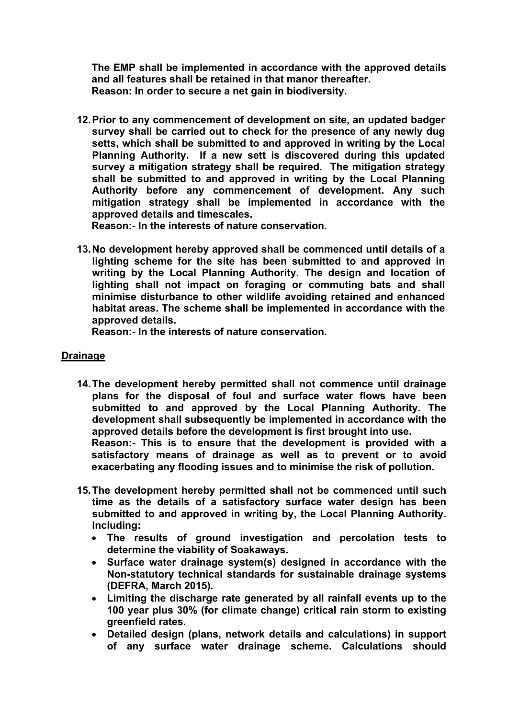**The EMP shall be implemented in accordance with the approved details and all features shall be retained in that manor thereafter. Reason: In order to secure a net gain in biodiversity.** 

**12.Prior to any commencement of development on site, an updated badger survey shall be carried out to check for the presence of any newly dug setts, which shall be submitted to and approved in writing by the Local Planning Authority. If a new sett is discovered during this updated survey a mitigation strategy shall be required. The mitigation strategy shall be submitted to and approved in writing by the Local Planning Authority before any commencement of development. Any such mitigation strategy shall be implemented in accordance with the approved details and timescales.**

**Reason:- In the interests of nature conservation.**

**13.No development hereby approved shall be commenced until details of a lighting scheme for the site has been submitted to and approved in writing by the Local Planning Authority. The design and location of lighting shall not impact on foraging or commuting bats and shall minimise disturbance to other wildlife avoiding retained and enhanced habitat areas. The scheme shall be implemented in accordance with the approved details.**

**Reason:- In the interests of nature conservation.**

## **Drainage**

**14.The development hereby permitted shall not commence until drainage plans for the disposal of foul and surface water flows have been submitted to and approved by the Local Planning Authority. The development shall subsequently be implemented in accordance with the approved details before the development is first brought into use. Reason:- This is to ensure that the development is provided with a**

**satisfactory means of drainage as well as to prevent or to avoid exacerbating any flooding issues and to minimise the risk of pollution.**

- **15.The development hereby permitted shall not be commenced until such time as the details of a satisfactory surface water design has been submitted to and approved in writing by, the Local Planning Authority. Including:**
	- **The results of ground investigation and percolation tests to determine the viability of Soakaways.**
	- **Surface water drainage system(s) designed in accordance with the Non-statutory technical standards for sustainable drainage systems (DEFRA, March 2015).**
	- **Limiting the discharge rate generated by all rainfall events up to the 100 year plus 30% (for climate change) critical rain storm to existing greenfield rates.**
	- **Detailed design (plans, network details and calculations) in support of any surface water drainage scheme. Calculations should**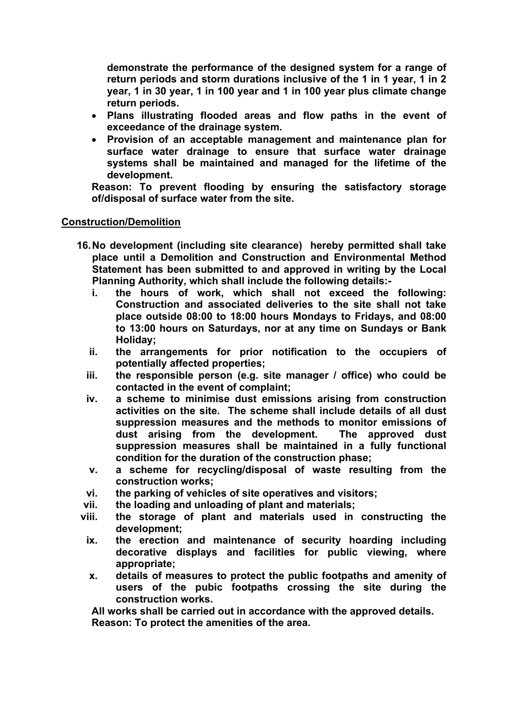**demonstrate the performance of the designed system for a range of return periods and storm durations inclusive of the 1 in 1 year, 1 in 2 year, 1 in 30 year, 1 in 100 year and 1 in 100 year plus climate change return periods.**

- **Plans illustrating flooded areas and flow paths in the event of exceedance of the drainage system.**
- **Provision of an acceptable management and maintenance plan for surface water drainage to ensure that surface water drainage systems shall be maintained and managed for the lifetime of the development.**

**Reason: To prevent flooding by ensuring the satisfactory storage of/disposal of surface water from the site.**

#### **Construction/Demolition**

- **16.No development (including site clearance) hereby permitted shall take place until a Demolition and Construction and Environmental Method Statement has been submitted to and approved in writing by the Local Planning Authority, which shall include the following details:**
	- **i. the hours of work, which shall not exceed the following: Construction and associated deliveries to the site shall not take place outside 08:00 to 18:00 hours Mondays to Fridays, and 08:00 to 13:00 hours on Saturdays, nor at any time on Sundays or Bank Holiday;**
	- **ii. the arrangements for prior notification to the occupiers of potentially affected properties;**
	- **iii. the responsible person (e.g. site manager / office) who could be contacted in the event of complaint;**
	- **iv. a scheme to minimise dust emissions arising from construction activities on the site. The scheme shall include details of all dust suppression measures and the methods to monitor emissions of dust arising from the development. The approved dust suppression measures shall be maintained in a fully functional condition for the duration of the construction phase;**
	- **v. a scheme for recycling/disposal of waste resulting from the construction works;**
	- **vi. the parking of vehicles of site operatives and visitors;**
	- **vii. the loading and unloading of plant and materials;**
- **viii. the storage of plant and materials used in constructing the development;**
- **ix. the erection and maintenance of security hoarding including decorative displays and facilities for public viewing, where appropriate;**
- **x. details of measures to protect the public footpaths and amenity of users of the pubic footpaths crossing the site during the construction works.**

**All works shall be carried out in accordance with the approved details. Reason: To protect the amenities of the area.**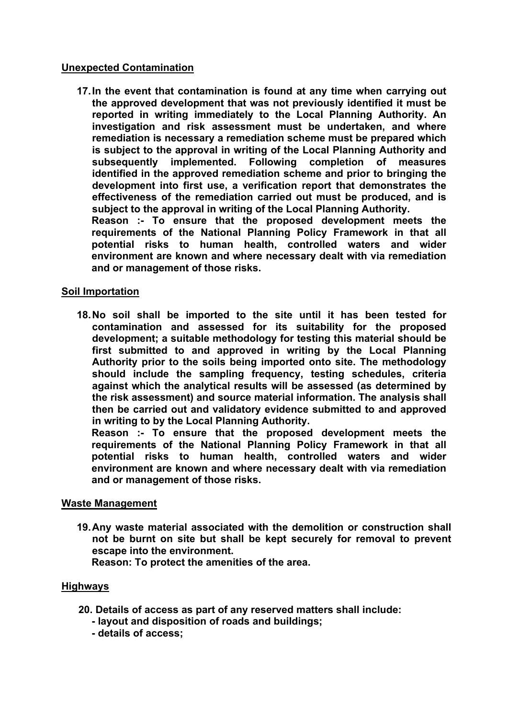## **Unexpected Contamination**

**17.In the event that contamination is found at any time when carrying out the approved development that was not previously identified it must be reported in writing immediately to the Local Planning Authority. An investigation and risk assessment must be undertaken, and where remediation is necessary a remediation scheme must be prepared which is subject to the approval in writing of the Local Planning Authority and subsequently implemented. Following completion of measures identified in the approved remediation scheme and prior to bringing the development into first use, a verification report that demonstrates the effectiveness of the remediation carried out must be produced, and is subject to the approval in writing of the Local Planning Authority.**

**Reason :- To ensure that the proposed development meets the requirements of the National Planning Policy Framework in that all potential risks to human health, controlled waters and wider environment are known and where necessary dealt with via remediation and or management of those risks.**

## **Soil Importation**

**18.No soil shall be imported to the site until it has been tested for contamination and assessed for its suitability for the proposed development; a suitable methodology for testing this material should be first submitted to and approved in writing by the Local Planning Authority prior to the soils being imported onto site. The methodology should include the sampling frequency, testing schedules, criteria against which the analytical results will be assessed (as determined by the risk assessment) and source material information. The analysis shall then be carried out and validatory evidence submitted to and approved in writing to by the Local Planning Authority.**

**Reason :- To ensure that the proposed development meets the requirements of the National Planning Policy Framework in that all potential risks to human health, controlled waters and wider environment are known and where necessary dealt with via remediation and or management of those risks.**

#### **Waste Management**

**19.Any waste material associated with the demolition or construction shall not be burnt on site but shall be kept securely for removal to prevent escape into the environment.**

**Reason: To protect the amenities of the area.**

## **Highways**

- **20. Details of access as part of any reserved matters shall include:**
	- **- layout and disposition of roads and buildings;**
	- **- details of access;**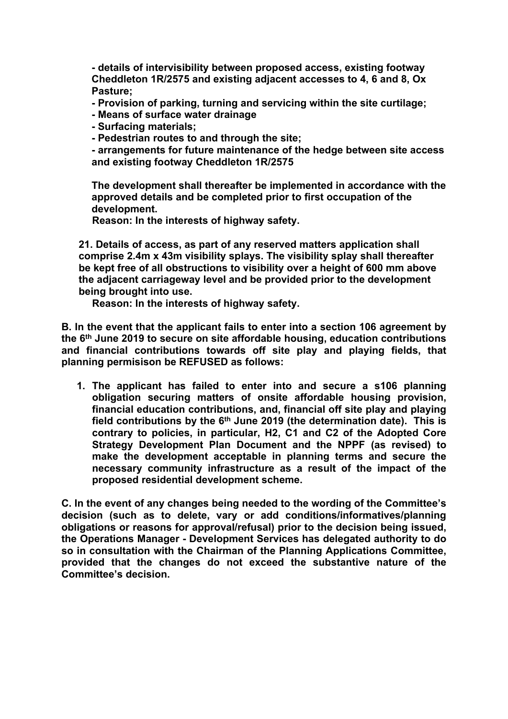**- details of intervisibility between proposed access, existing footway Cheddleton 1R/2575 and existing adjacent accesses to 4, 6 and 8, Ox Pasture;**

**- Provision of parking, turning and servicing within the site curtilage;**

- **- Means of surface water drainage**
- **- Surfacing materials;**
- **- Pedestrian routes to and through the site;**

**- arrangements for future maintenance of the hedge between site access and existing footway Cheddleton 1R/2575**

**The development shall thereafter be implemented in accordance with the approved details and be completed prior to first occupation of the development.**

**Reason: In the interests of highway safety.**

**21. Details of access, as part of any reserved matters application shall comprise 2.4m x 43m visibility splays. The visibility splay shall thereafter be kept free of all obstructions to visibility over a height of 600 mm above the adjacent carriageway level and be provided prior to the development being brought into use.**

**Reason: In the interests of highway safety.**

**B. In the event that the applicant fails to enter into a section 106 agreement by the 6 th June 2019 to secure on site affordable housing, education contributions and financial contributions towards off site play and playing fields, that planning permisison be REFUSED as follows:**

**1. The applicant has failed to enter into and secure a s106 planning obligation securing matters of onsite affordable housing provision, financial education contributions, and, financial off site play and playing field contributions by the 6 th June 2019 (the determination date). This is contrary to policies, in particular, H2, C1 and C2 of the Adopted Core Strategy Development Plan Document and the NPPF (as revised) to make the development acceptable in planning terms and secure the necessary community infrastructure as a result of the impact of the proposed residential development scheme.**

**C. In the event of any changes being needed to the wording of the Committee's decision (such as to delete, vary or add conditions/informatives/planning obligations or reasons for approval/refusal) prior to the decision being issued, the Operations Manager - Development Services has delegated authority to do so in consultation with the Chairman of the Planning Applications Committee, provided that the changes do not exceed the substantive nature of the Committee's decision.**